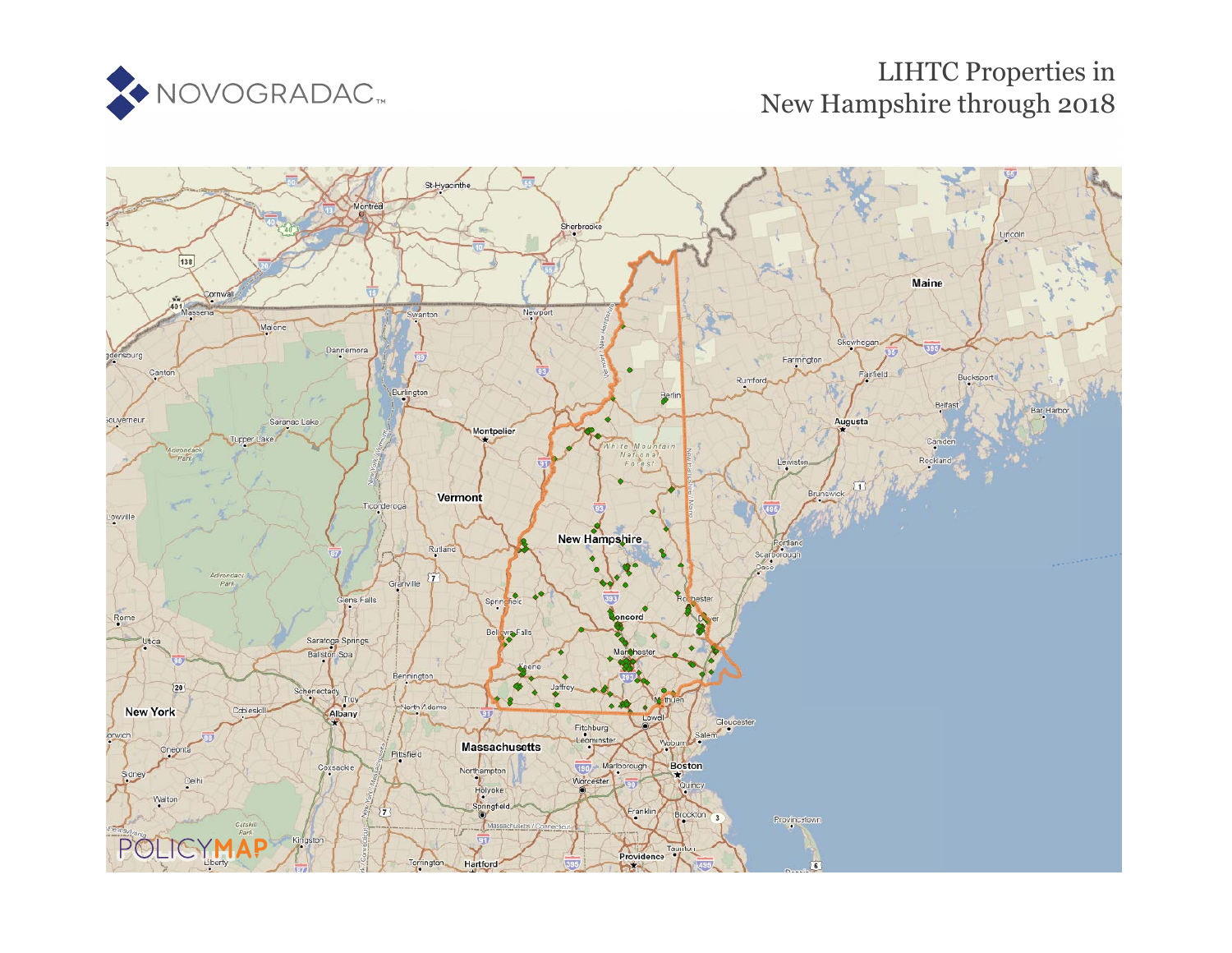

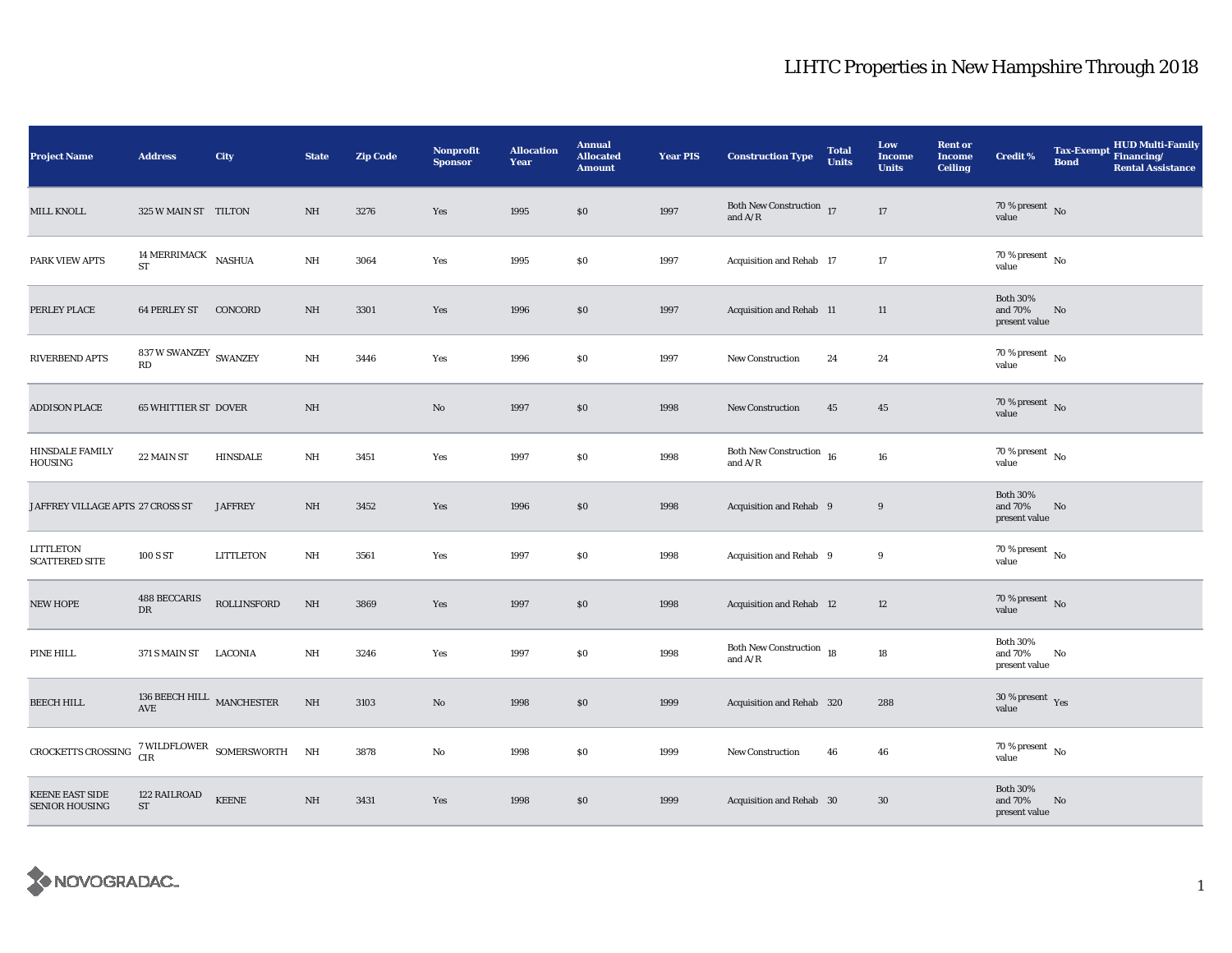| <b>Project Name</b>                             | <b>Address</b>                       | City                                                  | <b>State</b> | <b>Zip Code</b> | <b>Nonprofit</b><br><b>Sponsor</b> | <b>Allocation</b><br>Year | <b>Annual</b><br><b>Allocated</b><br><b>Amount</b> | <b>Year PIS</b> | <b>Construction Type</b>                                          | <b>Total</b><br><b>Units</b> | Low<br>Income<br><b>Units</b> | <b>Rent or</b><br><b>Income</b><br><b>Ceiling</b> | <b>Credit %</b>                             | <b>Tax-Exempt</b><br><b>Bond</b> | HUD Multi-Family<br>Financing/<br><b>Rental Assistance</b> |
|-------------------------------------------------|--------------------------------------|-------------------------------------------------------|--------------|-----------------|------------------------------------|---------------------------|----------------------------------------------------|-----------------|-------------------------------------------------------------------|------------------------------|-------------------------------|---------------------------------------------------|---------------------------------------------|----------------------------------|------------------------------------------------------------|
| <b>MILL KNOLL</b>                               | 325 W MAIN ST TILTON                 |                                                       | NH           | 3276            | Yes                                | 1995                      | \$0                                                | 1997            | Both New Construction $$\,$ 17 $\,$                               |                              | 17                            |                                                   | $70\,\%$ present $\,$ No value              |                                  |                                                            |
| PARK VIEW APTS                                  | 14 MERRIMACK NASHUA<br><b>ST</b>     |                                                       | $\rm{NH}$    | 3064            | Yes                                | 1995                      | \$0                                                | 1997            | Acquisition and Rehab 17                                          |                              | 17                            |                                                   | $70\,\%$ present $\,$ No value              |                                  |                                                            |
| PERLEY PLACE                                    | 64 PERLEY ST CONCORD                 |                                                       | NH           | 3301            | Yes                                | 1996                      | S <sub>0</sub>                                     | 1997            | Acquisition and Rehab 11                                          |                              | 11                            |                                                   | <b>Both 30%</b><br>and 70%<br>present value | No                               |                                                            |
| RIVERBEND APTS                                  | 837 W SWANZEY $\,$ SWANZEY<br>RD     |                                                       | NH           | 3446            | Yes                                | 1996                      | \$0                                                | 1997            | <b>New Construction</b>                                           | 24                           | 24                            |                                                   | $70\,\%$ present $\,$ No value              |                                  |                                                            |
| <b>ADDISON PLACE</b>                            | <b>65 WHITTIER ST DOVER</b>          |                                                       | NH           |                 | No                                 | 1997                      | \$0                                                | 1998            | <b>New Construction</b>                                           | 45                           | 45                            |                                                   | $70\,\%$ present $\,$ No value              |                                  |                                                            |
| <b>HINSDALE FAMILY</b><br>HOUSING               | 22 MAIN ST                           | <b>HINSDALE</b>                                       | NH           | 3451            | Yes                                | 1997                      | $\$0$                                              | 1998            | Both New Construction $\,$ 16 $\,$<br>and $\mathrm{A}/\mathrm{R}$ |                              | 16                            |                                                   | $70\%$ present $\overline{N_0}$<br>value    |                                  |                                                            |
| JAFFREY VILLAGE APTS 27 CROSS ST                |                                      | <b>JAFFREY</b>                                        | $\rm{NH}$    | 3452            | Yes                                | 1996                      | \$0                                                | 1998            | Acquisition and Rehab 9                                           |                              | 9                             |                                                   | <b>Both 30%</b><br>and 70%<br>present value | No                               |                                                            |
| LITTLETON<br><b>SCATTERED SITE</b>              | 100 S ST                             | <b>LITTLETON</b>                                      | NH           | 3561            | Yes                                | 1997                      | \$0                                                | 1998            | Acquisition and Rehab 9                                           |                              | 9                             |                                                   | $70$ % present $\,$ No $\,$<br>value        |                                  |                                                            |
| NEW HOPE                                        | <b>488 BECCARIS</b><br>${\rm DR}$    | ROLLINSFORD                                           | $\rm{NH}$    | 3869            | Yes                                | 1997                      | $\$0$                                              | 1998            | Acquisition and Rehab 12                                          |                              | 12                            |                                                   | $70\%$ present No<br>value                  |                                  |                                                            |
| PINE HILL                                       | 371 S MAIN ST LACONIA                |                                                       | NH           | 3246            | Yes                                | 1997                      | \$0\$                                              | 1998            | Both New Construction 18<br>and $A/R$                             |                              | 18                            |                                                   | <b>Both 30%</b><br>and 70%<br>present value | No                               |                                                            |
| <b>BEECH HILL</b>                               | $136$ BEECH HILL $\,$ MANCHESTER AVE |                                                       | $\rm{NH}$    | 3103            | No                                 | 1998                      | \$0                                                | 1999            | Acquisition and Rehab 320                                         |                              | 288                           |                                                   | $30\,\%$ present $\,$ Yes value             |                                  |                                                            |
| CROCKETTS CROSSING                              |                                      | $7$ WILDFLOWER $\,$ SOMERSWORTH $\,$ NH $\,$ CIR $\,$ |              | 3878            | No                                 | 1998                      | \$0                                                | 1999            | <b>New Construction</b>                                           | 46                           | 46                            |                                                   | $70\,\%$ present $\,$ No value              |                                  |                                                            |
| <b>KEENE EAST SIDE</b><br><b>SENIOR HOUSING</b> | 122 RAILROAD<br><b>ST</b>            | <b>KEENE</b>                                          | NH           | 3431            | Yes                                | 1998                      | \$0                                                | 1999            | Acquisition and Rehab 30                                          |                              | 30                            |                                                   | <b>Both 30%</b><br>and 70%<br>present value | No                               |                                                            |

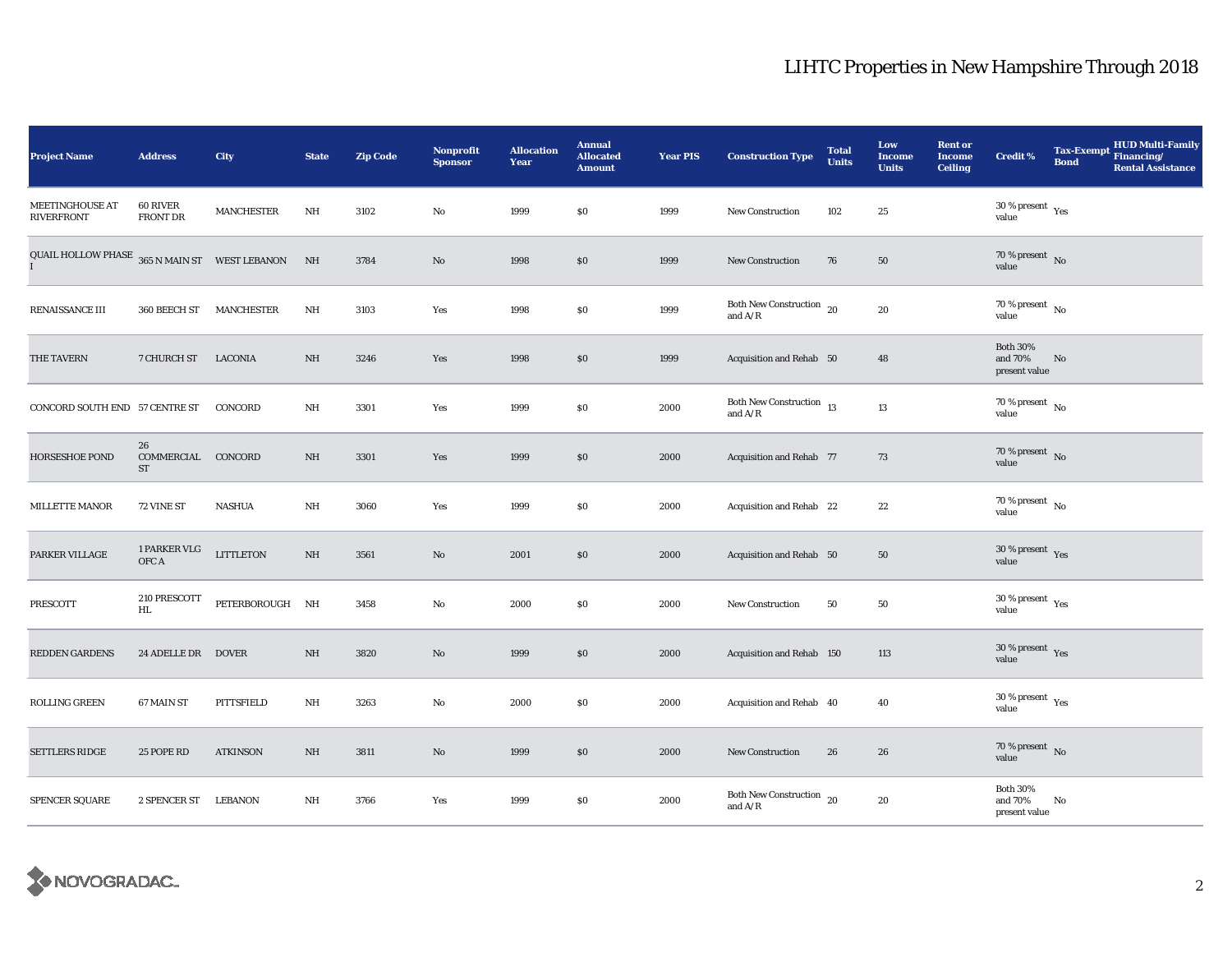| <b>Project Name</b>                                    | <b>Address</b>                     | City              | <b>State</b> | <b>Zip Code</b> | <b>Nonprofit</b><br><b>Sponsor</b> | <b>Allocation</b><br>Year | <b>Annual</b><br><b>Allocated</b><br><b>Amount</b> | <b>Year PIS</b> | <b>Construction Type</b>                                | <b>Total</b><br><b>Units</b> | Low<br><b>Income</b><br><b>Units</b> | <b>Rent or</b><br><b>Income</b><br><b>Ceiling</b> | <b>Credit %</b>                              | <b>Bond</b> | HUD Multi-Family<br>Tax-Exempt Financing/<br><b>Rental Assistance</b> |
|--------------------------------------------------------|------------------------------------|-------------------|--------------|-----------------|------------------------------------|---------------------------|----------------------------------------------------|-----------------|---------------------------------------------------------|------------------------------|--------------------------------------|---------------------------------------------------|----------------------------------------------|-------------|-----------------------------------------------------------------------|
| <b>MEETINGHOUSE AT</b><br><b>RIVERFRONT</b>            | <b>60 RIVER</b><br><b>FRONT DR</b> | <b>MANCHESTER</b> | $\rm{NH}$    | 3102            | No                                 | 1999                      | \$0                                                | 1999            | New Construction                                        | 102                          | 25                                   |                                                   | $30$ % present $\rm\thinspace\,Yes$<br>value |             |                                                                       |
| QUAIL HOLLOW PHASE $~365$ N MAIN ST $~\,$ WEST LEBANON |                                    |                   | NH           | 3784            | No                                 | 1998                      | \$0                                                | 1999            | <b>New Construction</b>                                 | 76                           | 50                                   |                                                   | $70\%$ present No<br>value                   |             |                                                                       |
| RENAISSANCE III                                        | 360 BEECH ST                       | MANCHESTER        | NH           | 3103            | Yes                                | 1998                      | \$0                                                | 1999            | Both New Construction 20<br>and $A/R$                   |                              | 20                                   |                                                   | 70 % present $\hbox{~No}$<br>value           |             |                                                                       |
| THE TAVERN                                             | 7 CHURCH ST                        | LACONIA           | <b>NH</b>    | 3246            | Yes                                | 1998                      | \$0                                                | 1999            | Acquisition and Rehab 50                                |                              | 48                                   |                                                   | <b>Both 30%</b><br>and 70%<br>present value  | No          |                                                                       |
| CONCORD SOUTH END 57 CENTRE ST                         |                                    | CONCORD           | NH           | 3301            | Yes                                | 1999                      | \$0                                                | 2000            | Both New Construction 13<br>and $\mathrm{A}/\mathrm{R}$ |                              | 13                                   |                                                   | $70\,\%$ present $\,$ No value               |             |                                                                       |
| HORSESHOE POND                                         | 26<br>COMMERCIAL CONCORD<br>ST     |                   | NH           | 3301            | Yes                                | 1999                      | \$0                                                | 2000            | Acquisition and Rehab 77                                |                              | 73                                   |                                                   | 70 % present $\bar{N}$ o<br>value            |             |                                                                       |
| <b>MILLETTE MANOR</b>                                  | 72 VINE ST                         | <b>NASHUA</b>     | NH           | 3060            | Yes                                | 1999                      | \$0                                                | 2000            | Acquisition and Rehab 22                                |                              | 22                                   |                                                   | $70$ % present $_{\, \rm No}$<br>value       |             |                                                                       |
| PARKER VILLAGE                                         | 1 PARKER VLG<br>OFC A              | <b>LITTLETON</b>  | NH           | 3561            | No                                 | 2001                      | \$0                                                | 2000            | Acquisition and Rehab 50                                |                              | 50                                   |                                                   | 30 % present $\gamma_{\rm e s}$<br>value     |             |                                                                       |
| PRESCOTT                                               | 210 PRESCOTT<br>$\mathbf{HL}$      | PETERBOROUGH NH   |              | 3458            | No                                 | 2000                      | \$0                                                | 2000            | New Construction                                        | 50                           | 50                                   |                                                   | $30\,\%$ present $\,$ $\rm Yes$<br>value     |             |                                                                       |
| <b>REDDEN GARDENS</b>                                  | 24 ADELLE DR DOVER                 |                   | $\rm{NH}$    | 3820            | No                                 | 1999                      | \$0                                                | 2000            | Acquisition and Rehab 150                               |                              | 113                                  |                                                   | $30\,\%$ present $\,$ Yes value              |             |                                                                       |
| ROLLING GREEN                                          | 67 MAIN ST                         | PITTSFIELD        | NH           | 3263            | No                                 | 2000                      | \$0                                                | 2000            | Acquisition and Rehab 40                                |                              | 40                                   |                                                   | $30$ % present $\rm\,Yes$<br>value           |             |                                                                       |
| <b>SETTLERS RIDGE</b>                                  | 25 POPE RD                         | <b>ATKINSON</b>   | $\rm{NH}$    | 3811            | No                                 | 1999                      | \$0                                                | 2000            | New Construction                                        | 26                           | 26                                   |                                                   | 70 % present $\hbox{~No}$<br>value           |             |                                                                       |
| SPENCER SQUARE                                         | 2 SPENCER ST                       | LEBANON           | $_{\rm NH}$  | 3766            | Yes                                | 1999                      | \$0                                                | 2000            | Both New Construction $_{20}$<br>and $A/R$              |                              | 20                                   |                                                   | <b>Both 30%</b><br>and 70%<br>present value  | No          |                                                                       |

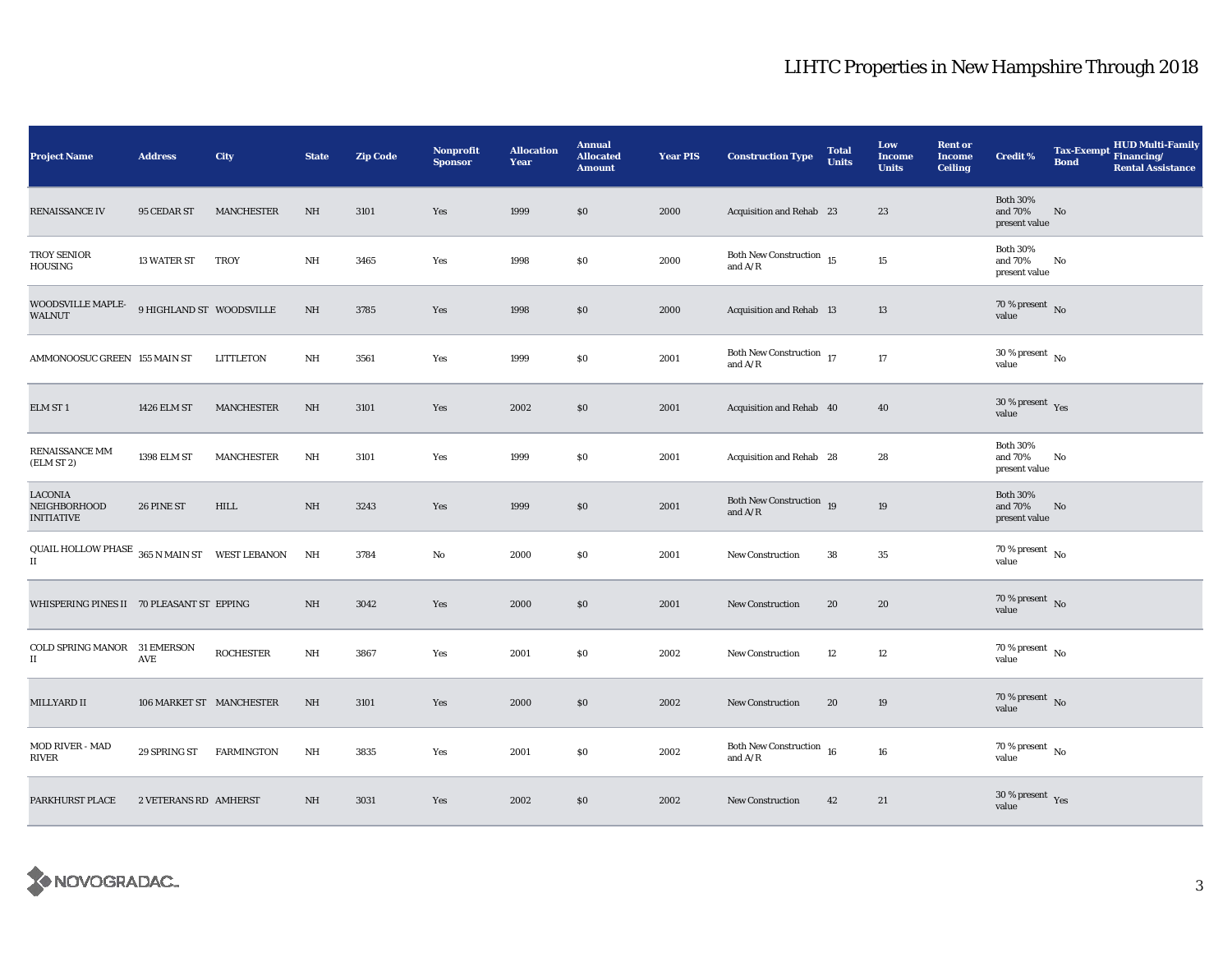| <b>Project Name</b>                                                 | <b>Address</b>           | City              | <b>State</b>            | <b>Zip Code</b> | Nonprofit<br><b>Sponsor</b> | <b>Allocation</b><br><b>Year</b> | <b>Annual</b><br><b>Allocated</b><br><b>Amount</b> | <b>Year PIS</b> | <b>Construction Type</b>                                                                        | <b>Total</b><br><b>Units</b> | Low<br><b>Income</b><br><b>Units</b> | <b>Rent or</b><br><b>Income</b><br><b>Ceiling</b> | <b>Credit %</b>                             | <b>Tax-Exempt</b><br><b>Bond</b> | HUD Multi-Family<br>Financing/<br><b>Rental Assistance</b> |
|---------------------------------------------------------------------|--------------------------|-------------------|-------------------------|-----------------|-----------------------------|----------------------------------|----------------------------------------------------|-----------------|-------------------------------------------------------------------------------------------------|------------------------------|--------------------------------------|---------------------------------------------------|---------------------------------------------|----------------------------------|------------------------------------------------------------|
| <b>RENAISSANCE IV</b>                                               | 95 CEDAR ST              | <b>MANCHESTER</b> | NH                      | 3101            | Yes                         | 1999                             | $\$0$                                              | 2000            | Acquisition and Rehab 23                                                                        |                              | 23                                   |                                                   | <b>Both 30%</b><br>and 70%<br>present value | No                               |                                                            |
| <b>TROY SENIOR</b><br>HOUSING                                       | 13 WATER ST              | <b>TROY</b>       | NH                      | 3465            | Yes                         | 1998                             | \$0                                                | 2000            | Both New Construction 15<br>and $A/R$                                                           |                              | 15                                   |                                                   | <b>Both 30%</b><br>and 70%<br>present value | No                               |                                                            |
| WOODSVILLE MAPLE-<br><b>WALNUT</b>                                  | 9 HIGHLAND ST WOODSVILLE |                   | NH                      | 3785            | Yes                         | 1998                             | \$0                                                | 2000            | Acquisition and Rehab 13                                                                        |                              | 13                                   |                                                   | 70 % present $\hbox{~No}$<br>value          |                                  |                                                            |
| AMMONOOSUC GREEN 155 MAIN ST                                        |                          | LITTLETON         | NH                      | 3561            | Yes                         | 1999                             | \$0                                                | 2001            | Both New Construction 17<br>and $\ensuremath{\mathrm{A}}\xspace/\ensuremath{\mathrm{R}}\xspace$ |                              | 17                                   |                                                   | $30\,\%$ present $_{\, \rm No}$<br>value    |                                  |                                                            |
| ELM ST 1                                                            | 1426 ELM ST              | MANCHESTER        | NH                      | 3101            | Yes                         | 2002                             | \$0                                                | 2001            | Acquisition and Rehab 40                                                                        |                              | 40                                   |                                                   | $30$ % present $\,$ $\rm Yes$<br>value      |                                  |                                                            |
| RENAISSANCE MM<br>(ELM ST 2)                                        | 1398 ELM ST              | MANCHESTER        | NH                      | 3101            | Yes                         | 1999                             | \$0                                                | 2001            | Acquisition and Rehab 28                                                                        |                              | 28                                   |                                                   | <b>Both 30%</b><br>and 70%<br>present value | No                               |                                                            |
| <b>LACONIA</b><br>NEIGHBORHOOD<br><b>INITIATIVE</b>                 | 26 PINE ST               | HILL              | NH                      | 3243            | Yes                         | 1999                             | \$0                                                | 2001            | Both New Construction 19<br>and $A/R$                                                           |                              | 19                                   |                                                   | <b>Both 30%</b><br>and 70%<br>present value | No                               |                                                            |
| QUAIL HOLLOW PHASE $_{\rm 365\,N}$ MAIN ST $_{\rm WEST}$ LEBANON II |                          |                   | $\mathbf{N} \mathbf{H}$ | 3784            | No                          | 2000                             | $\$0$                                              | 2001            | <b>New Construction</b>                                                                         | 38                           | $35\,$                               |                                                   | $70\,\%$ present $\,$ No value              |                                  |                                                            |
| WHISPERING PINES II 70 PLEASANT ST EPPING                           |                          |                   | NH                      | 3042            | Yes                         | 2000                             | \$0                                                | 2001            | New Construction                                                                                | 20                           | 20                                   |                                                   | 70 % present No<br>value                    |                                  |                                                            |
| COLD SPRING MANOR 31 EMERSON<br>$\scriptstyle\rm II$                | $\operatorname{AVE}$     | <b>ROCHESTER</b>  | NH                      | 3867            | Yes                         | 2001                             | \$0                                                | 2002            | <b>New Construction</b>                                                                         | 12                           | 12                                   |                                                   | 70 % present $\,$ No $\,$<br>value          |                                  |                                                            |
| MILLYARD II                                                         | 106 MARKET ST MANCHESTER |                   | NH                      | 3101            | Yes                         | 2000                             | \$0                                                | 2002            | New Construction                                                                                | 20                           | 19                                   |                                                   | 70 % present $\,$ No $\,$<br>value          |                                  |                                                            |
| <b>MOD RIVER - MAD</b><br><b>RIVER</b>                              | 29 SPRING ST             | <b>FARMINGTON</b> | NH                      | 3835            | Yes                         | 2001                             | $\$0$                                              | 2002            | Both New Construction $\,$ 16 $\,$<br>and $\ensuremath{\mathrm{A}}/\ensuremath{\mathrm{R}}$     |                              | 16                                   |                                                   | $70$ % present $\,$ No $\,$<br>value        |                                  |                                                            |
| PARKHURST PLACE                                                     | 2 VETERANS RD AMHERST    |                   | NH                      | 3031            | Yes                         | 2002                             | \$0\$                                              | 2002            | <b>New Construction</b>                                                                         | 42                           | 21                                   |                                                   | $30\,\%$ present $\,$ Yes value             |                                  |                                                            |

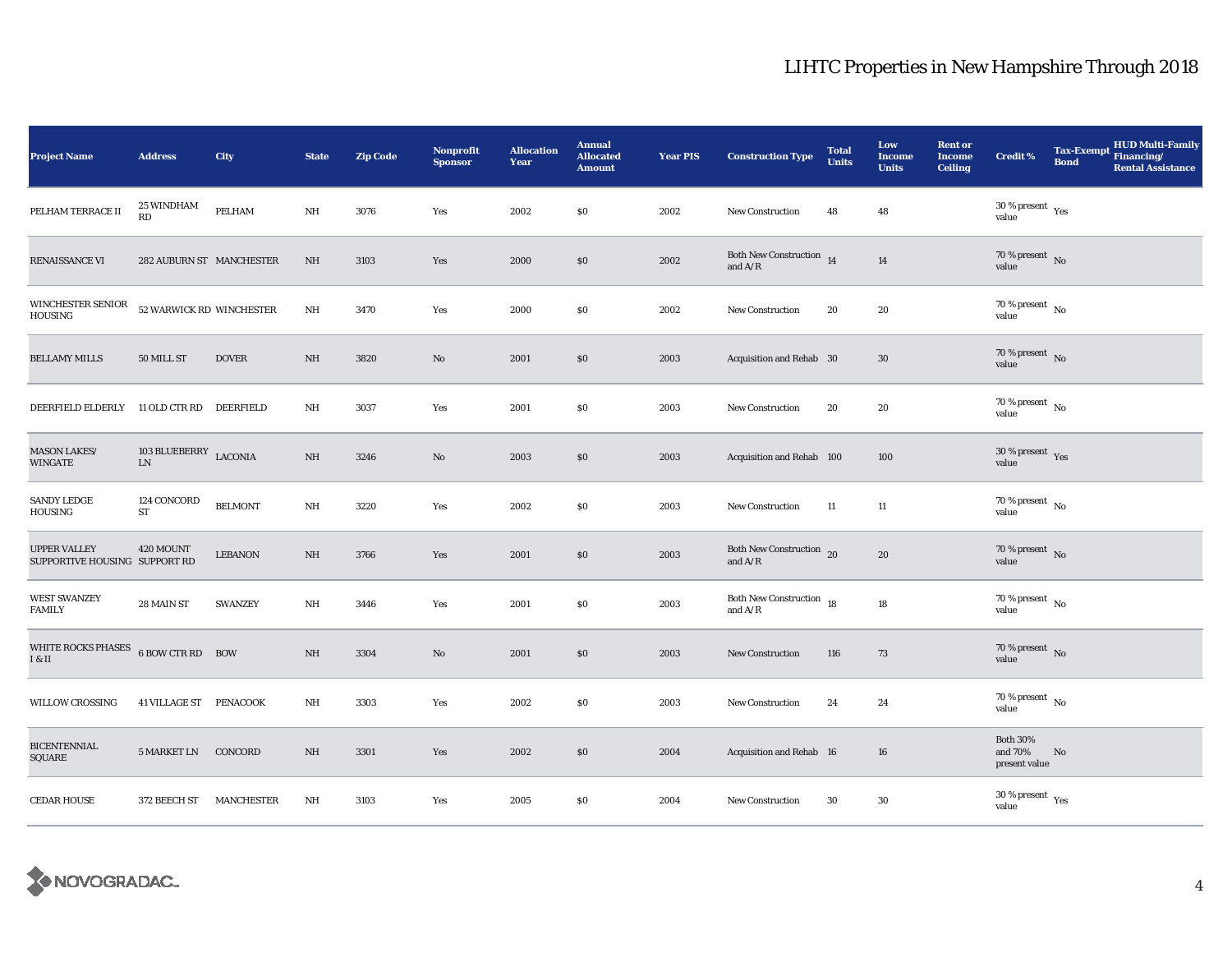| <b>Project Name</b>                                  | <b>Address</b>                              | City              | <b>State</b> | <b>Zip Code</b> | <b>Nonprofit</b><br><b>Sponsor</b> | <b>Allocation</b><br>Year | <b>Annual</b><br><b>Allocated</b><br><b>Amount</b> | <b>Year PIS</b> | <b>Construction Type</b>                                                          | <b>Total</b><br><b>Units</b> | Low<br><b>Income</b><br><b>Units</b> | <b>Rent or</b><br><b>Income</b><br><b>Ceiling</b> | <b>Credit %</b>                             | <b>Bond</b>   | <b>HUD Multi-Family</b><br>Tax-Exempt Financing/<br><b>Rental Assistance</b> |
|------------------------------------------------------|---------------------------------------------|-------------------|--------------|-----------------|------------------------------------|---------------------------|----------------------------------------------------|-----------------|-----------------------------------------------------------------------------------|------------------------------|--------------------------------------|---------------------------------------------------|---------------------------------------------|---------------|------------------------------------------------------------------------------|
| PELHAM TERRACE II                                    | <b>25 WINDHAM</b><br>$\mathbf{R}\mathbf{D}$ | PELHAM            | NH           | 3076            | Yes                                | 2002                      | \$0                                                | 2002            | <b>New Construction</b>                                                           | 48                           | 48                                   |                                                   | $30\,\%$ present $\,$ Yes value             |               |                                                                              |
| RENAISSANCE VI                                       | 282 AUBURN ST MANCHESTER                    |                   | NH           | 3103            | Yes                                | 2000                      | \$0                                                | 2002            | Both New Construction 14<br>and $\ensuremath{\mathrm{A}}/\ensuremath{\mathrm{R}}$ |                              | 14                                   |                                                   | 70 % present $\bar{N}$ o<br>value           |               |                                                                              |
| WINCHESTER SENIOR<br><b>HOUSING</b>                  | 52 WARWICK RD WINCHESTER                    |                   | $\rm{NH}$    | 3470            | Yes                                | 2000                      | \$0                                                | 2002            | New Construction                                                                  | 20                           | 20                                   |                                                   | $70$ % present $\,$ No $\,$<br>value        |               |                                                                              |
| <b>BELLAMY MILLS</b>                                 | 50 MILL ST                                  | <b>DOVER</b>      | NH           | 3820            | No                                 | 2001                      | \$0                                                | 2003            | Acquisition and Rehab 30                                                          |                              | 30                                   |                                                   | 70 % present $\,$ No $\,$<br>value          |               |                                                                              |
| DEERFIELD ELDERLY                                    | 11 OLD CTR RD DEERFIELD                     |                   | NH           | 3037            | Yes                                | 2001                      | $\$0$                                              | 2003            | New Construction                                                                  | 20                           | 20                                   |                                                   | 70 % present $\hbox{~No}$<br>value          |               |                                                                              |
| <b>MASON LAKES/</b><br><b>WINGATE</b>                | 103 BLUEBERRY LACONIA<br>${\rm LN}$         |                   | NH           | 3246            | No                                 | 2003                      | \$0                                                | 2003            | Acquisition and Rehab 100                                                         |                              | 100                                  |                                                   | $30\,\%$ present $\,$ Yes value             |               |                                                                              |
| <b>SANDY LEDGE</b><br>HOUSING                        | 124 CONCORD<br><b>ST</b>                    | <b>BELMONT</b>    | $\rm{NH}$    | 3220            | Yes                                | 2002                      | \$0                                                | 2003            | <b>New Construction</b>                                                           | 11                           | $11\,$                               |                                                   | 70 % present $\hbox{~No}$<br>value          |               |                                                                              |
| <b>UPPER VALLEY</b><br>SUPPORTIVE HOUSING SUPPORT RD | 420 MOUNT                                   | <b>LEBANON</b>    | NH           | 3766            | Yes                                | 2001                      | \$0                                                | 2003            | Both New Construction $_{20}$<br>and $A/R$                                        |                              | 20                                   |                                                   | $70\,\%$ present $\,$ No value              |               |                                                                              |
| <b>WEST SWANZEY</b><br><b>FAMILY</b>                 | 28 MAIN ST                                  | <b>SWANZEY</b>    | NH           | 3446            | Yes                                | 2001                      | \$0\$                                              | 2003            | Both New Construction 18<br>and $\mathrm{A}/\mathrm{R}$                           |                              | 18                                   |                                                   | 70 % present $\,$ No $\,$<br>value          |               |                                                                              |
| <b>WHITE ROCKS PHASES</b><br>I & II                  | 6 BOW CTR RD BOW                            |                   | NH           | 3304            | No                                 | 2001                      | \$0                                                | 2003            | New Construction                                                                  | 116                          | 73                                   |                                                   | 70 % present $\hbox{~No}$<br>value          |               |                                                                              |
| <b>WILLOW CROSSING</b>                               | 41 VILLAGE ST PENACOOK                      |                   | $\rm{NH}$    | 3303            | Yes                                | 2002                      | S <sub>0</sub>                                     | 2003            | <b>New Construction</b>                                                           | 24                           | 24                                   |                                                   | 70 % present $\hbox{~No}$<br>value          |               |                                                                              |
| <b>BICENTENNIAL</b><br>SQUARE                        | 5 MARKET LN CONCORD                         |                   | $\rm{NH}$    | 3301            | Yes                                | 2002                      | \$0                                                | 2004            | Acquisition and Rehab 16                                                          |                              | 16                                   |                                                   | <b>Both 30%</b><br>and 70%<br>present value | $\mathbf{No}$ |                                                                              |
| <b>CEDAR HOUSE</b>                                   | 372 BEECH ST                                | <b>MANCHESTER</b> | NH           | 3103            | Yes                                | 2005                      | $\$0$                                              | 2004            | <b>New Construction</b>                                                           | 30                           | 30                                   |                                                   | $30\,\%$ present $\,$ $\rm Yes$<br>value    |               |                                                                              |

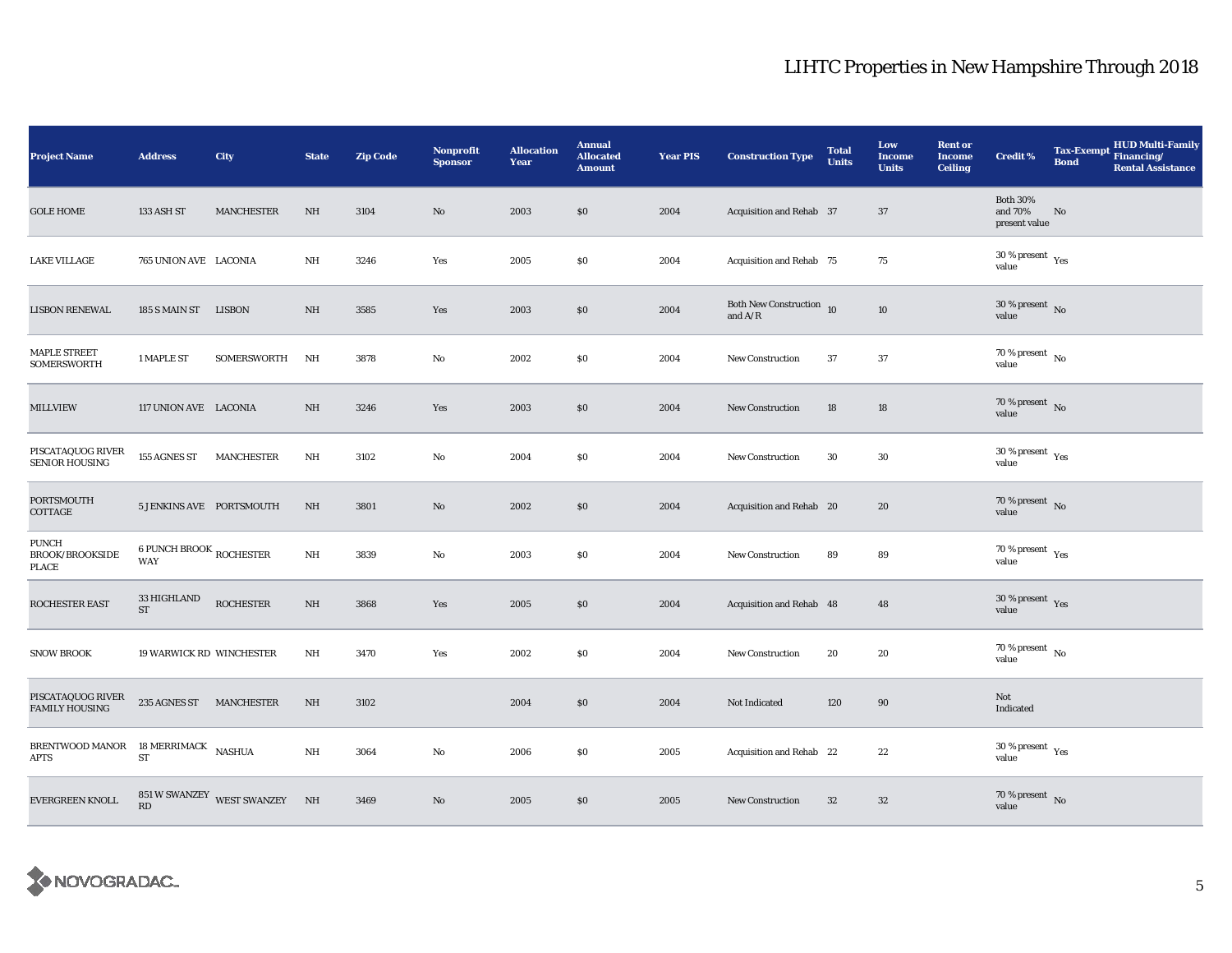| <b>Project Name</b>                                    | <b>Address</b>                                 | City                          | <b>State</b> | <b>Zip Code</b> | Nonprofit<br><b>Sponsor</b> | <b>Allocation</b><br>Year | <b>Annual</b><br><b>Allocated</b><br><b>Amount</b> | <b>Year PIS</b> | <b>Construction Type</b>                   | <b>Total</b><br><b>Units</b> | Low<br><b>Income</b><br><b>Units</b> | <b>Rent or</b><br><b>Income</b><br><b>Ceiling</b> | <b>Credit %</b>                              | <b>Bond</b> | HUD Multi-Family<br>Tax-Exempt Financing/<br><b>Rental Assistance</b> |
|--------------------------------------------------------|------------------------------------------------|-------------------------------|--------------|-----------------|-----------------------------|---------------------------|----------------------------------------------------|-----------------|--------------------------------------------|------------------------------|--------------------------------------|---------------------------------------------------|----------------------------------------------|-------------|-----------------------------------------------------------------------|
| <b>GOLE HOME</b>                                       | 133 ASH ST                                     | <b>MANCHESTER</b>             | NH           | 3104            | No                          | 2003                      | \$0                                                | 2004            | Acquisition and Rehab 37                   |                              | 37                                   |                                                   | <b>Both 30%</b><br>and 70%<br>present value  | No          |                                                                       |
| <b>LAKE VILLAGE</b>                                    | 765 UNION AVE LACONIA                          |                               | NH           | 3246            | Yes                         | 2005                      | $\$0$                                              | 2004            | Acquisition and Rehab 75                   |                              | 75                                   |                                                   | $30\,\%$ present $\,$ $\rm Yes$<br>value     |             |                                                                       |
| <b>LISBON RENEWAL</b>                                  | 185 S MAIN ST LISBON                           |                               | NH           | 3585            | Yes                         | 2003                      | \$0                                                | 2004            | Both New Construction $_{10}$<br>and $A/R$ |                              | 10                                   |                                                   | 30 % present $\overline{N_0}$<br>value       |             |                                                                       |
| <b>MAPLE STREET</b><br>SOMERSWORTH                     | 1 MAPLE ST                                     | SOMERSWORTH                   | NH           | 3878            | No                          | 2002                      | \$0                                                | 2004            | New Construction                           | 37                           | 37                                   |                                                   | 70 % present $\hbox{~No}$<br>value           |             |                                                                       |
| <b>MILLVIEW</b>                                        | 117 UNION AVE LACONIA                          |                               | NH           | 3246            | Yes                         | 2003                      | $\$0$                                              | 2004            | New Construction                           | 18                           | 18                                   |                                                   | $70\,\%$ present $\,$ No value               |             |                                                                       |
| PISCATAQUOG RIVER<br>SENIOR HOUSING                    | 155 AGNES ST                                   | <b>MANCHESTER</b>             | NH           | 3102            | No                          | 2004                      | \$0                                                | 2004            | New Construction                           | 30                           | 30                                   |                                                   | $30\,\%$ present $\,$ $\rm{Yes}$<br>value    |             |                                                                       |
| PORTSMOUTH<br>COTTAGE                                  | 5 JENKINS AVE PORTSMOUTH                       |                               | NH           | 3801            | No                          | 2002                      | \$0                                                | 2004            | Acquisition and Rehab 20                   |                              | 20                                   |                                                   | $70\,\%$ present $${\rm No}$$ value          |             |                                                                       |
| <b>PUNCH</b><br><b>BROOK/BROOKSIDE</b><br><b>PLACE</b> | <b>6 PUNCH BROOK ROCHESTER</b><br><b>WAY</b>   |                               | $\rm{NH}$    | 3839            | No                          | 2003                      | \$0                                                | 2004            | <b>New Construction</b>                    | 89                           | 89                                   |                                                   | $70\,\%$ present $\,$ Yes value              |             |                                                                       |
| ROCHESTER EAST                                         | $33\,\mathrm{HIGHLAND}$<br>$\operatorname{ST}$ | <b>ROCHESTER</b>              | NH           | 3868            | Yes                         | 2005                      | \$0                                                | 2004            | Acquisition and Rehab 48                   |                              | 48                                   |                                                   | 30 % present $\gamma_{\rm{es}}$<br>value     |             |                                                                       |
| <b>SNOW BROOK</b>                                      | <b>19 WARWICK RD WINCHESTER</b>                |                               | NH           | 3470            | Yes                         | 2002                      | \$0                                                | 2004            | <b>New Construction</b>                    | 20                           | 20                                   |                                                   | 70 % present $\hbox{~No}$<br>value           |             |                                                                       |
| PISCATAQUOG RIVER<br><b>FAMILY HOUSING</b>             | 235 AGNES ST MANCHESTER                        |                               | NH           | 3102            |                             | 2004                      | \$0                                                | 2004            | Not Indicated                              | 120                          | 90                                   |                                                   | Not<br>Indicated                             |             |                                                                       |
| BRENTWOOD MANOR 18 MERRIMACK NASHUA<br>APTS            | ${\rm ST}$                                     |                               | $\rm{NH}$    | 3064            | No                          | 2006                      | \$0                                                | 2005            | Acquisition and Rehab 22                   |                              | 22                                   |                                                   | $30$ % present $\rm\thinspace\,Yes$<br>value |             |                                                                       |
| EVERGREEN KNOLL                                        | $\mathbf{R}\mathbf{D}$                         | 851 W SWANZEY WEST SWANZEY NH |              | 3469            | No                          | 2005                      | \$0                                                | 2005            | <b>New Construction</b>                    | 32                           | 32                                   |                                                   | $70\,\%$ present $\,$ No value               |             |                                                                       |

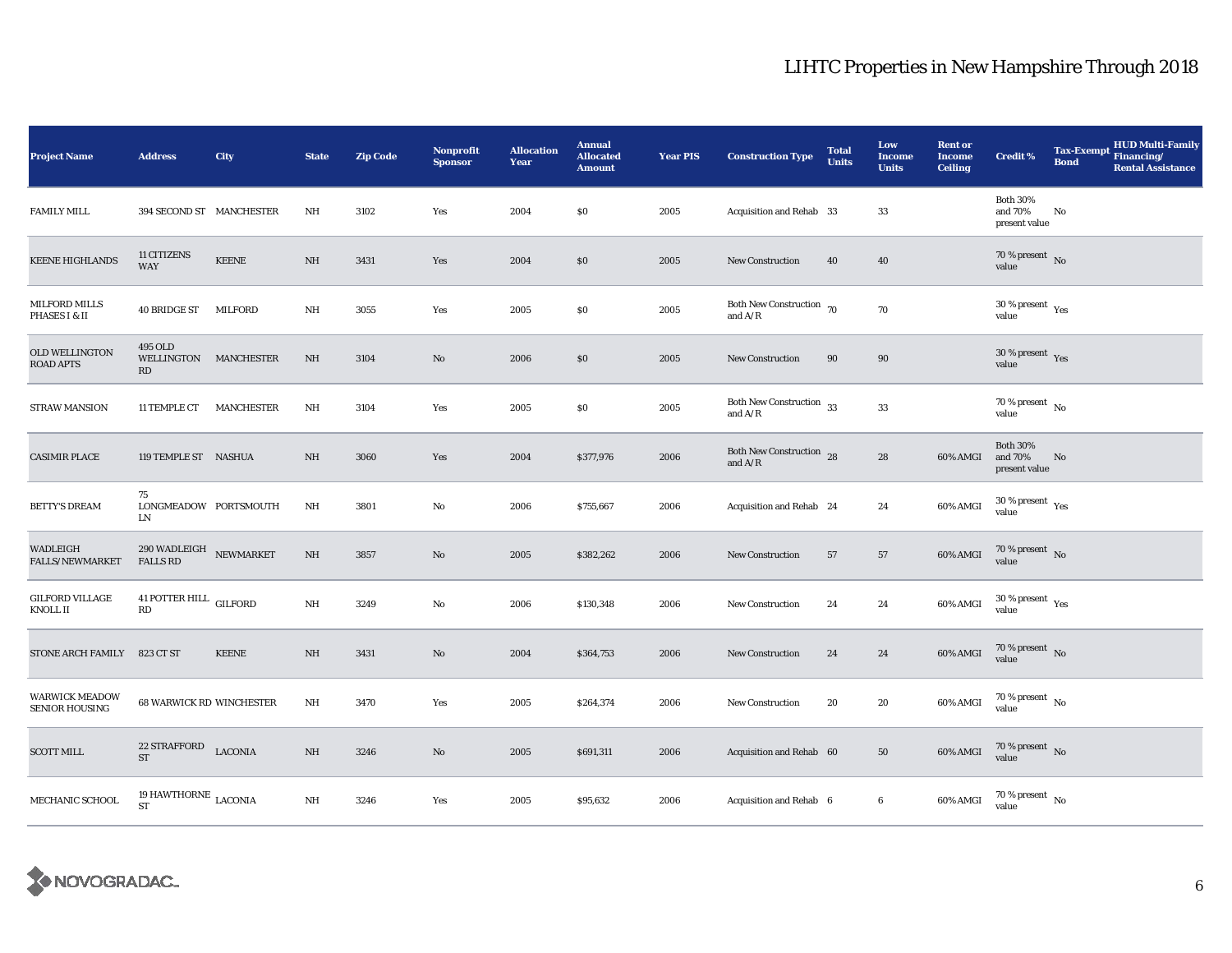| <b>Project Name</b>                            | <b>Address</b>                                           | City         | <b>State</b> | <b>Zip Code</b> | <b>Nonprofit</b><br><b>Sponsor</b> | <b>Allocation</b><br>Year | <b>Annual</b><br><b>Allocated</b><br><b>Amount</b> | <b>Year PIS</b> | <b>Construction Type</b>                   | <b>Total</b><br><b>Units</b> | Low<br><b>Income</b><br><b>Units</b> | <b>Rent or</b><br><b>Income</b><br><b>Ceiling</b> | <b>Credit %</b>                                       | <b>Tax-Exempt</b><br><b>Bond</b> | <b>HUD Multi-Family</b><br>Financing/<br><b>Rental Assistance</b> |
|------------------------------------------------|----------------------------------------------------------|--------------|--------------|-----------------|------------------------------------|---------------------------|----------------------------------------------------|-----------------|--------------------------------------------|------------------------------|--------------------------------------|---------------------------------------------------|-------------------------------------------------------|----------------------------------|-------------------------------------------------------------------|
| <b>FAMILY MILL</b>                             | 394 SECOND ST MANCHESTER                                 |              | $\rm NH$     | 3102            | Yes                                | 2004                      | \$0                                                | 2005            | Acquisition and Rehab 33                   |                              | 33                                   |                                                   | <b>Both 30%</b><br>and 70%<br>present value           | No                               |                                                                   |
| <b>KEENE HIGHLANDS</b>                         | 11 CITIZENS<br><b>WAY</b>                                | <b>KEENE</b> | $\rm{NH}$    | 3431            | Yes                                | 2004                      | $\$0$                                              | 2005            | <b>New Construction</b>                    | 40                           | 40                                   |                                                   | 70 % present $\overline{N_0}$<br>value                |                                  |                                                                   |
| MILFORD MILLS<br>PHASES I & II                 | 40 BRIDGE ST                                             | MILFORD      | NH           | 3055            | Yes                                | 2005                      | \$0                                                | 2005            | Both New Construction 70<br>and $A/R$      |                              | 70                                   |                                                   | 30 % present $\rm\thinspace\gamma_{\rm e s}$<br>value |                                  |                                                                   |
| <b>OLD WELLINGTON</b><br><b>ROAD APTS</b>      | 495 OLD<br>WELLINGTON MANCHESTER<br>RD                   |              | NH           | 3104            | $\mathbf{N}\mathbf{o}$             | 2006                      | \$0                                                | 2005            | New Construction                           | 90                           | 90                                   |                                                   | $30\,\%$ present $\,$ Yes value                       |                                  |                                                                   |
| STRAW MANSION                                  | 11 TEMPLE CT                                             | MANCHESTER   | $\rm{NH}$    | 3104            | Yes                                | 2005                      | \$0                                                | 2005            | Both New Construction $\,$ 33<br>and $A/R$ |                              | $\bf 33$                             |                                                   | $70$ % present $\,$ No $\,$<br>value                  |                                  |                                                                   |
| <b>CASIMIR PLACE</b>                           | 119 TEMPLE ST NASHUA                                     |              | NH           | 3060            | Yes                                | 2004                      | \$377,976                                          | 2006            | Both New Construction 28<br>and $A/R$      |                              | ${\bf 28}$                           | 60% AMGI                                          | <b>Both 30%</b><br>and 70%<br>present value           | No                               |                                                                   |
| <b>BETTY'S DREAM</b>                           | 75<br>LONGMEADOW PORTSMOUTH<br>LN                        |              | NH           | 3801            | No                                 | 2006                      | \$755,667                                          | 2006            | Acquisition and Rehab 24                   |                              | 24                                   | 60% AMGI                                          | $30$ % present $\rm\thinspace_{Yes}$<br>value         |                                  |                                                                   |
| WADLEIGH<br>FALLS/NEWMARKET                    | $290\,\mbox{WADLEIGH}\quad$ NEWMARKET<br><b>FALLS RD</b> |              | NH           | 3857            | $\mathbf{N}\mathbf{o}$             | 2005                      | \$382,262                                          | 2006            | New Construction                           | 57                           | 57                                   | 60% AMGI                                          | $70$ % present $\,$ No $\,$<br>value                  |                                  |                                                                   |
| <b>GILFORD VILLAGE</b><br>KNOLL II             | 41 POTTER HILL $\,$ GILFORD<br>RD                        |              | $\rm{NH}$    | 3249            | No                                 | 2006                      | \$130,348                                          | 2006            | New Construction                           | 24                           | 24                                   | 60% AMGI                                          | $30\,\%$ present $\,$ Yes value                       |                                  |                                                                   |
| <b>STONE ARCH FAMILY</b>                       | 823 CT ST                                                | <b>KEENE</b> | NH           | 3431            | $\mathbf{N}\mathbf{o}$             | 2004                      | \$364,753                                          | 2006            | <b>New Construction</b>                    | 24                           | 24                                   | 60% AMGI                                          | $70$ % present $\,$ No $\,$<br>value                  |                                  |                                                                   |
| <b>WARWICK MEADOW</b><br><b>SENIOR HOUSING</b> | <b>68 WARWICK RD WINCHESTER</b>                          |              | $\rm{NH}$    | 3470            | Yes                                | 2005                      | \$264,374                                          | 2006            | New Construction                           | 20                           | 20                                   | 60% AMGI                                          | 70 % present $\,$ No $\,$<br>value                    |                                  |                                                                   |
| <b>SCOTT MILL</b>                              | 22 STRAFFORD<br><b>ST</b>                                | LACONIA      | NH           | 3246            | No                                 | 2005                      | \$691,311                                          | 2006            | Acquisition and Rehab 60                   |                              | 50                                   | 60% AMGI                                          | $70\,\%$ present $\,$ No value                        |                                  |                                                                   |
| MECHANIC SCHOOL                                | 19 HAWTHORNE $_{\rm LACONIA}$<br><b>ST</b>               |              | $\rm{NH}$    | 3246            | Yes                                | 2005                      | \$95,632                                           | 2006            | Acquisition and Rehab 6                    |                              | $6\phantom{.0}$                      | 60% AMGI                                          | $70$ % present $\,$ No $\,$<br>value                  |                                  |                                                                   |

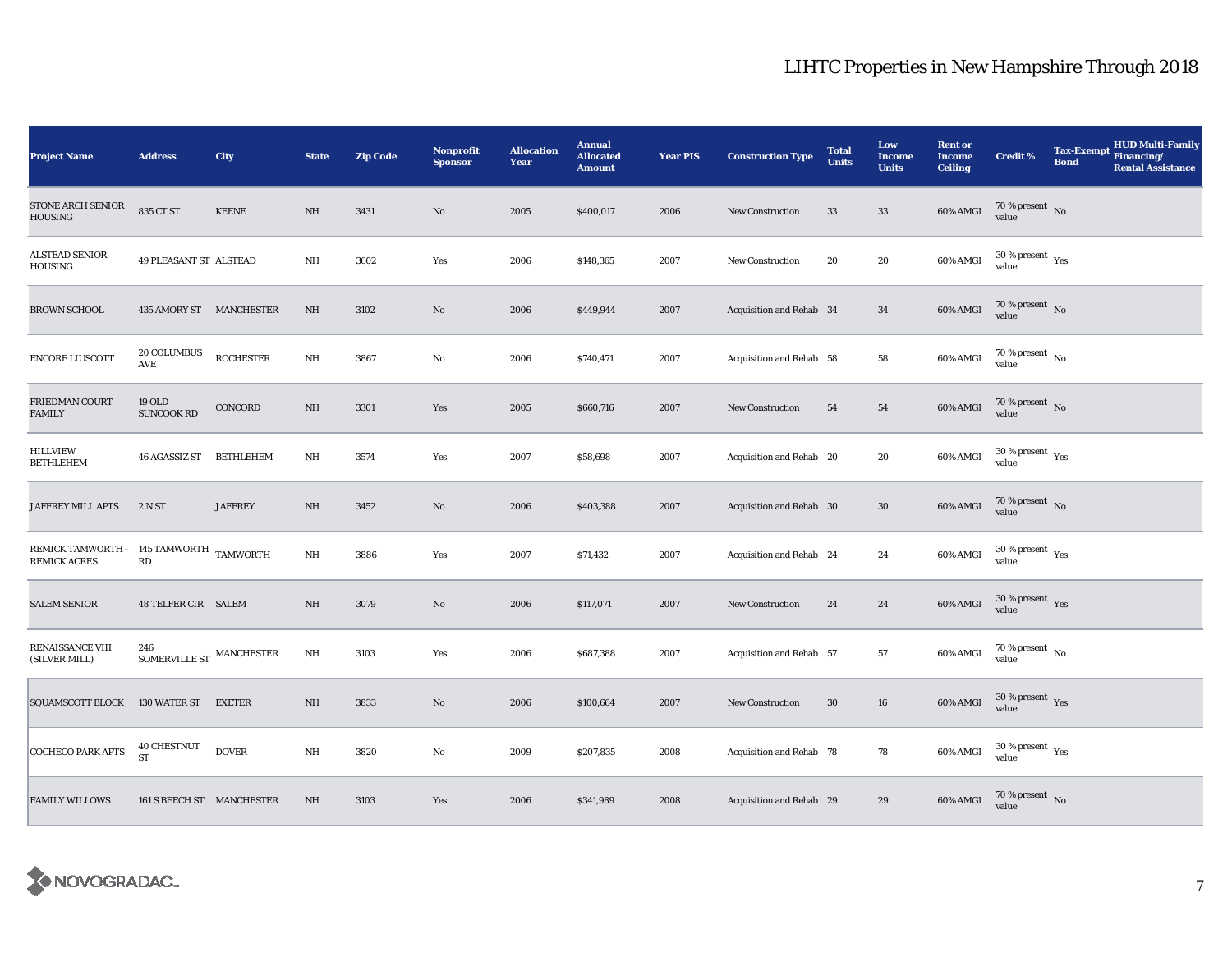| <b>Project Name</b>                                            | <b>Address</b>                       | City             | <b>State</b> | <b>Zip Code</b> | Nonprofit<br><b>Sponsor</b> | <b>Allocation</b><br>Year | <b>Annual</b><br><b>Allocated</b><br><b>Amount</b> | <b>Year PIS</b> | <b>Construction Type</b> | <b>Total</b><br><b>Units</b> | Low<br><b>Income</b><br><b>Units</b> | <b>Rent or</b><br><b>Income</b><br><b>Ceiling</b> | <b>Credit %</b>                               | <b>Tax-Exempt</b><br><b>Bond</b> | <b>HUD Multi-Family</b><br>Financing/<br><b>Rental Assistance</b> |
|----------------------------------------------------------------|--------------------------------------|------------------|--------------|-----------------|-----------------------------|---------------------------|----------------------------------------------------|-----------------|--------------------------|------------------------------|--------------------------------------|---------------------------------------------------|-----------------------------------------------|----------------------------------|-------------------------------------------------------------------|
| STONE ARCH SENIOR<br>HOUSING                                   | 835 CT ST                            | <b>KEENE</b>     | NH           | 3431            | No                          | 2005                      | \$400,017                                          | 2006            | <b>New Construction</b>  | 33                           | $33\,$                               | 60% AMGI                                          | $70\,\%$ present $\,$ No value                |                                  |                                                                   |
| <b>ALSTEAD SENIOR</b><br>HOUSING                               | 49 PLEASANT ST ALSTEAD               |                  | NH           | 3602            | Yes                         | 2006                      | \$148,365                                          | 2007            | <b>New Construction</b>  | 20                           | 20                                   | 60% AMGI                                          | $30$ % present $\,$ $\rm Yes$<br>value        |                                  |                                                                   |
| <b>BROWN SCHOOL</b>                                            | 435 AMORY ST MANCHESTER              |                  | NH           | 3102            | No                          | 2006                      | \$449,944                                          | 2007            | Acquisition and Rehab 34 |                              | 34                                   | 60% AMGI                                          | $70\,\%$ present $\,$ No value                |                                  |                                                                   |
| <b>ENCORE LIUSCOTT</b>                                         | 20 COLUMBUS<br>AVE                   | <b>ROCHESTER</b> | $\rm{NH}$    | 3867            | No                          | 2006                      | \$740,471                                          | 2007            | Acquisition and Rehab 58 |                              | 58                                   | 60% AMGI                                          | 70 % present $\hbox{~No}$<br>value            |                                  |                                                                   |
| FRIEDMAN COURT<br><b>FAMILY</b>                                | 19 OLD<br><b>SUNCOOK RD</b>          | CONCORD          | $_{\rm NH}$  | 3301            | Yes                         | 2005                      | \$660,716                                          | 2007            | <b>New Construction</b>  | 54                           | 54                                   | 60% AMGI                                          | $70\,\%$ present $\,$ No $\,$<br>value        |                                  |                                                                   |
| <b>HILLVIEW</b><br><b>BETHLEHEM</b>                            | <b>46 AGASSIZ ST</b>                 | <b>BETHLEHEM</b> | NH           | 3574            | Yes                         | 2007                      | \$58,698                                           | 2007            | Acquisition and Rehab 20 |                              | 20                                   | 60% AMGI                                          | $30\,\%$ present $\,$ Yes value               |                                  |                                                                   |
| JAFFREY MILL APTS                                              | 2 N ST                               | <b>JAFFREY</b>   | NH           | 3452            | No                          | 2006                      | \$403,388                                          | 2007            | Acquisition and Rehab 30 |                              | $30\,$                               | 60% AMGI                                          | $70\,\%$ present $\,$ No value                |                                  |                                                                   |
| REMICK TAMWORTH - 145 TAMWORTH TAMWORTH<br><b>REMICK ACRES</b> | $\mathbf{R}\mathbf{D}$               |                  | $\rm{NH}$    | 3886            | Yes                         | 2007                      | \$71,432                                           | 2007            | Acquisition and Rehab 24 |                              | 24                                   | 60% AMGI                                          | $30\,\%$ present $\,$ $\rm Yes$<br>value      |                                  |                                                                   |
| <b>SALEM SENIOR</b>                                            | <b>48 TELFER CIR SALEM</b>           |                  | NH           | 3079            | No                          | 2006                      | \$117,071                                          | 2007            | New Construction         | 24                           | 24                                   | 60% AMGI                                          | $30$ % present $\sqrt{\mathrm{Yes}}$<br>value |                                  |                                                                   |
| RENAISSANCE VIII<br>(SILVER MILL)                              | 246<br>SOMERVILLE ST $\,$ MANCHESTER |                  | $\rm{NH}$    | 3103            | Yes                         | 2006                      | \$687,388                                          | 2007            | Acquisition and Rehab 57 |                              | 57                                   | 60% AMGI                                          | $70$ % present $\,$ No $\,$<br>value          |                                  |                                                                   |
| <b>SQUAMSCOTT BLOCK</b>                                        | 130 WATER ST                         | <b>EXETER</b>    | NH           | 3833            | $\rm No$                    | 2006                      | \$100,664                                          | 2007            | New Construction         | 30                           | ${\bf 16}$                           | 60% AMGI                                          | $30$ % present $\sqrt{\mathrm{Yes}}$<br>value |                                  |                                                                   |
| <b>COCHECO PARK APTS</b>                                       | 40 CHESTNUT<br>ST                    | <b>DOVER</b>     | $\rm{NH}$    | 3820            | No                          | 2009                      | \$207,835                                          | 2008            | Acquisition and Rehab 78 |                              | 78                                   | 60% AMGI                                          | $30\,\%$ present $\,$ Yes value               |                                  |                                                                   |
| <b>FAMILY WILLOWS</b>                                          | 161 S BEECH ST MANCHESTER            |                  | NH           | 3103            | Yes                         | 2006                      | \$341,989                                          | 2008            | Acquisition and Rehab 29 |                              | 29                                   | 60% AMGI                                          | $70\,\%$ present $\,$ No value                |                                  |                                                                   |

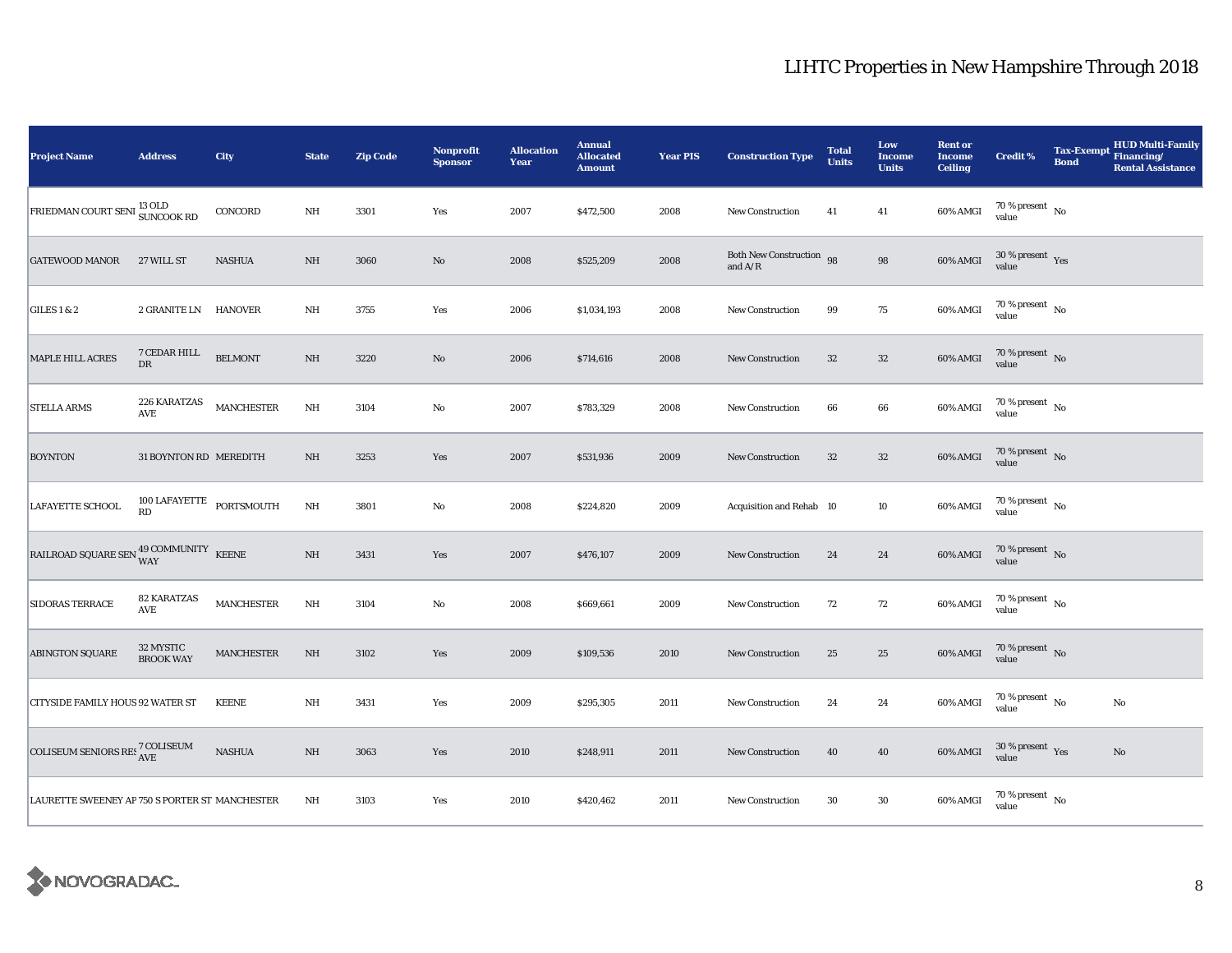| <b>Project Name</b>                                                                                                                                                                                             | <b>Address</b>                              | City              | <b>State</b>            | <b>Zip Code</b> | Nonprofit<br><b>Sponsor</b> | <b>Allocation</b><br>Year | <b>Annual</b><br><b>Allocated</b><br><b>Amount</b> | <b>Year PIS</b> | <b>Construction Type</b>                  | <b>Total</b><br><b>Units</b> | Low<br><b>Income</b><br><b>Units</b> | <b>Rent or</b><br><b>Income</b><br><b>Ceiling</b> | <b>Credit %</b>                             | <b>Tax-Exempt</b><br><b>Bond</b> | <b>HUD Multi-Family</b><br>Financing/<br><b>Rental Assistance</b> |
|-----------------------------------------------------------------------------------------------------------------------------------------------------------------------------------------------------------------|---------------------------------------------|-------------------|-------------------------|-----------------|-----------------------------|---------------------------|----------------------------------------------------|-----------------|-------------------------------------------|------------------------------|--------------------------------------|---------------------------------------------------|---------------------------------------------|----------------------------------|-------------------------------------------------------------------|
| FRIEDMAN COURT SENI <sup>13</sup> OLD<br>SUNCOOK RD                                                                                                                                                             |                                             | CONCORD           | NH                      | 3301            | Yes                         | 2007                      | \$472,500                                          | 2008            | New Construction                          | 41                           | 41                                   | 60% AMGI                                          | $70\,\%$ present $\,$ No value              |                                  |                                                                   |
| <b>GATEWOOD MANOR</b>                                                                                                                                                                                           | 27 WILL ST                                  | <b>NASHUA</b>     | $\rm NH$                | 3060            | $\rm No$                    | 2008                      | \$525,209                                          | 2008            | Both New Construction 98<br>and $\rm A/R$ |                              | $\bf{98}$                            | 60% AMGI                                          | $30\,\%$ present $\,$ $_{\rm Yes}$<br>value |                                  |                                                                   |
| GILES $1 & 2$                                                                                                                                                                                                   | 2 GRANITE LN HANOVER                        |                   | $\rm{NH}$               | 3755            | Yes                         | 2006                      | \$1,034,193                                        | 2008            | New Construction                          | 99                           | $75\,$                               | 60% AMGI                                          | $70\,\%$ present $\,$ No value              |                                  |                                                                   |
| <b>MAPLE HILL ACRES</b>                                                                                                                                                                                         | 7 CEDAR HILL<br><b>DR</b>                   | <b>BELMONT</b>    | NH                      | 3220            | No                          | 2006                      | \$714,616                                          | 2008            | <b>New Construction</b>                   | 32                           | $32\,$                               | 60% AMGI                                          | $70\,\%$ present $\,$ No value              |                                  |                                                                   |
| <b>STELLA ARMS</b>                                                                                                                                                                                              | 226 KARATZAS<br>AVE                         | <b>MANCHESTER</b> | $\mathbf{N} \mathbf{H}$ | 3104            | $\rm No$                    | 2007                      | \$783,329                                          | 2008            | New Construction                          | 66                           | 66                                   | 60% AMGI                                          | $70\,\%$ present $\,$ No value              |                                  |                                                                   |
| <b>BOYNTON</b>                                                                                                                                                                                                  | 31 BOYNTON RD MEREDITH                      |                   | NH                      | 3253            | Yes                         | 2007                      | \$531,936                                          | 2009            | <b>New Construction</b>                   | $32\,$                       | $32\,$                               | 60% AMGI                                          | $70\,\%$ present $\,$ No value              |                                  |                                                                   |
| <b>LAFAYETTE SCHOOL</b>                                                                                                                                                                                         | $100$ LAFAYETTE $\_$ PORTSMOUTH $\_$<br>RD. |                   | $\mathbf{N} \mathbf{H}$ | 3801            | $\rm No$                    | 2008                      | \$224,820                                          | 2009            | Acquisition and Rehab 10                  |                              | $10\,$                               | 60% AMGI                                          | $70\,\%$ present $\,$ No value              |                                  |                                                                   |
| $\begin{tabular}{ll} \bf{RAILROAD SQUARE \, SEN} \end{tabular} \begin{tabular}{ll} \bf{RAILROAD} \end{tabular} \begin{tabular}{ll} \bf{SAILROAD} \end{tabular} \begin{tabular}{ll} \bf{SAILROAD} \end{tabular}$ |                                             |                   | $\rm NH$                | 3431            | Yes                         | 2007                      | \$476,107                                          | 2009            | <b>New Construction</b>                   | 24                           | 24                                   | 60% AMGI                                          | $70\,\%$ present $\,$ No value              |                                  |                                                                   |
| SIDORAS TERRACE                                                                                                                                                                                                 | <b>82 KARATZAS</b><br>$\operatorname{AVE}$  | <b>MANCHESTER</b> | $\mathbf{N} \mathbf{H}$ | 3104            | $\rm No$                    | 2008                      | \$669,661                                          | 2009            | <b>New Construction</b>                   | 72                           | 72                                   | 60% AMGI                                          | $70\,\%$ present $\,$ No $\,$<br>value      |                                  |                                                                   |
| <b>ABINGTON SQUARE</b>                                                                                                                                                                                          | 32 MYSTIC<br><b>BROOK WAY</b>               | <b>MANCHESTER</b> | NH                      | 3102            | Yes                         | 2009                      | \$109,536                                          | 2010            | New Construction                          | 25                           | $\bf 25$                             | 60% AMGI                                          | $70\,\%$ present $\,$ No value              |                                  |                                                                   |
| <b>CITYSIDE FAMILY HOUS 92 WATER ST</b>                                                                                                                                                                         |                                             | <b>KEENE</b>      | NH                      | 3431            | Yes                         | 2009                      | \$295,305                                          | 2011            | <b>New Construction</b>                   | 24                           | 24                                   | 60% AMGI                                          | 70 % present $\hbox{~No}$<br>value          |                                  | No                                                                |
| COLISEUM SENIORS RES <sup>7</sup> COLISEUM                                                                                                                                                                      |                                             | <b>NASHUA</b>     | $\rm{NH}$               | 3063            | Yes                         | 2010                      | \$248,911                                          | 2011            | New Construction                          | 40                           | 40                                   | 60% AMGI                                          | $30\,\%$ present $\,$ Yes value             |                                  | $\mathbf{No}$                                                     |
| LAURETTE SWEENEY AP 750 S PORTER ST MANCHESTER                                                                                                                                                                  |                                             |                   | $\rm{NH}$               | 3103            | Yes                         | 2010                      | \$420,462                                          | 2011            | New Construction                          | $30\,$                       | $30\,$                               | 60% AMGI                                          | $70\,\%$ present $\,$ No value              |                                  |                                                                   |

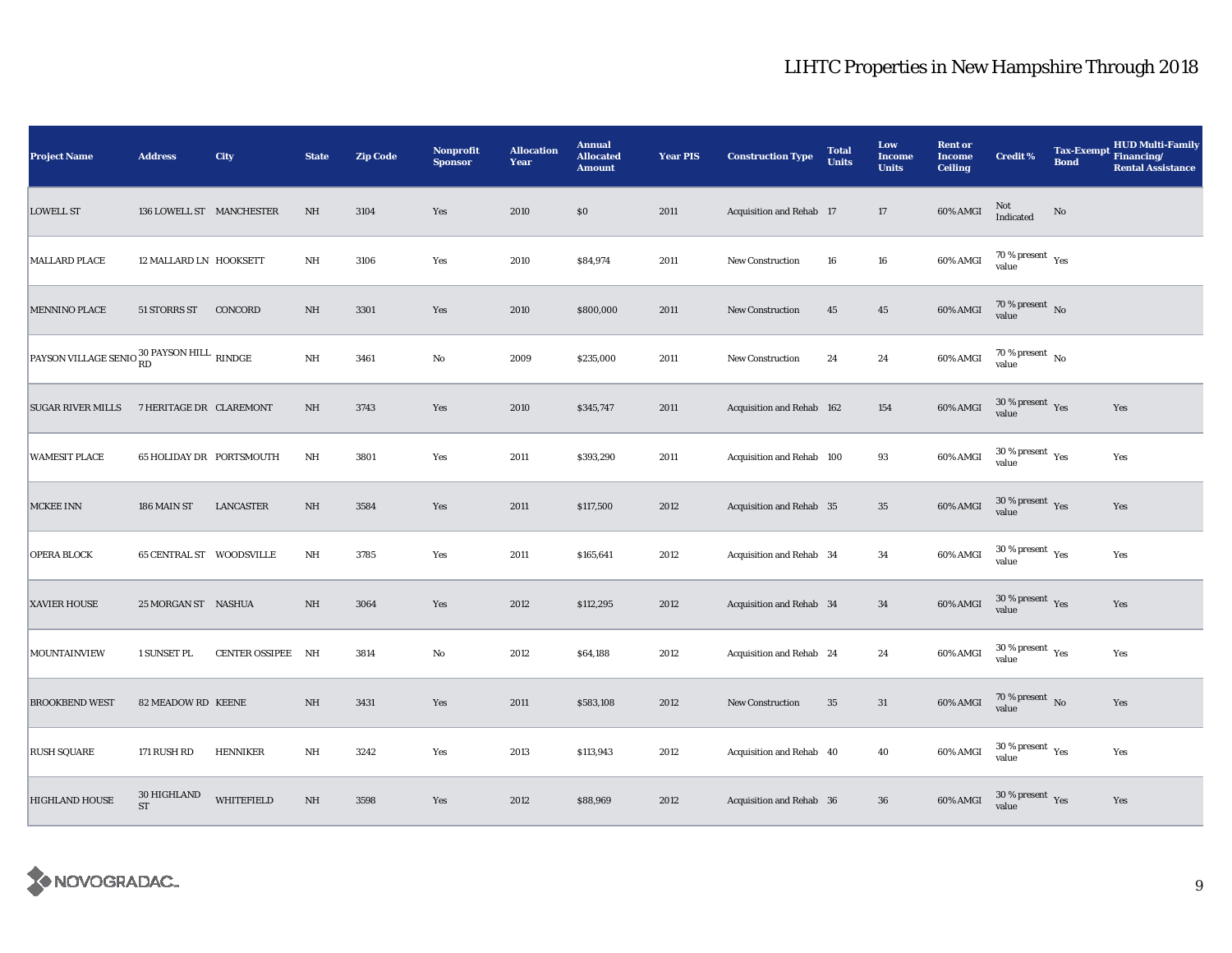| <b>Project Name</b>                                      | <b>Address</b>           | City              | <b>State</b> | <b>Zip Code</b> | <b>Nonprofit</b><br><b>Sponsor</b> | <b>Allocation</b><br>Year | <b>Annual</b><br><b>Allocated</b><br><b>Amount</b> | <b>Year PIS</b> | <b>Construction Type</b>  | <b>Total</b><br><b>Units</b> | Low<br>Income<br><b>Units</b> | <b>Rent or</b><br><b>Income</b><br><b>Ceiling</b> | <b>Credit %</b>                              | <b>Tax-Exempt</b><br><b>Bond</b> | <b>HUD Multi-Family</b><br>Financing/<br><b>Rental Assistance</b> |
|----------------------------------------------------------|--------------------------|-------------------|--------------|-----------------|------------------------------------|---------------------------|----------------------------------------------------|-----------------|---------------------------|------------------------------|-------------------------------|---------------------------------------------------|----------------------------------------------|----------------------------------|-------------------------------------------------------------------|
| <b>LOWELL ST</b>                                         | 136 LOWELL ST MANCHESTER |                   | NH           | 3104            | Yes                                | 2010                      | \$0                                                | 2011            | Acquisition and Rehab 17  |                              | 17                            | 60% AMGI                                          | Not<br>Indicated                             | No                               |                                                                   |
| <b>MALLARD PLACE</b>                                     | 12 MALLARD LN HOOKSETT   |                   | $\rm{NH}$    | 3106            | Yes                                | 2010                      | \$84,974                                           | 2011            | <b>New Construction</b>   | 16                           | ${\bf 16}$                    | 60% AMGI                                          | $70\,\%$ present $\,$ $\rm Yes$<br>value     |                                  |                                                                   |
| <b>MENNINO PLACE</b>                                     | 51 STORRS ST             | CONCORD           | NH           | 3301            | Yes                                | 2010                      | \$800,000                                          | 2011            | New Construction          | 45                           | $45\,$                        | 60% AMGI                                          | $70\,\%$ present $\,$ No value               |                                  |                                                                   |
| PAYSON VILLAGE SENIO $_{\rm RD}^{30}$ PAYSON HILL RINDGE |                          |                   | $\rm{NH}$    | 3461            | $\rm No$                           | 2009                      | \$235,000                                          | 2011            | New Construction          | 24                           | 24                            | 60% AMGI                                          | $70\,\%$ present $\,$ No value               |                                  |                                                                   |
| <b>SUGAR RIVER MILLS</b>                                 | 7 HERITAGE DR CLAREMONT  |                   | $\rm NH$     | 3743            | Yes                                | 2010                      | \$345,747                                          | 2011            | Acquisition and Rehab 162 |                              | 154                           | 60% AMGI                                          | $30$ % present $\,$ $\rm Yes$<br>value       |                                  | Yes                                                               |
| <b>WAMESIT PLACE</b>                                     | 65 HOLIDAY DR PORTSMOUTH |                   | $\rm{NH}$    | 3801            | Yes                                | 2011                      | \$393,290                                          | 2011            | Acquisition and Rehab 100 |                              | 93                            | 60% AMGI                                          | $30\,\%$ present $\,$ Yes value              |                                  | Yes                                                               |
| <b>MCKEE INN</b>                                         | 186 MAIN ST              | <b>LANCASTER</b>  | $\rm NH$     | 3584            | Yes                                | 2011                      | \$117,500                                          | 2012            | Acquisition and Rehab 35  |                              | $\bf 35$                      | 60% AMGI                                          | $30\,\%$ present $\,$ Yes value              |                                  | Yes                                                               |
| <b>OPERA BLOCK</b>                                       | 65 CENTRAL ST WOODSVILLE |                   | $\rm{NH}$    | 3785            | Yes                                | 2011                      | \$165,641                                          | 2012            | Acquisition and Rehab 34  |                              | 34                            | 60% AMGI                                          | $30\,\%$ present $\,$ Yes value              |                                  | Yes                                                               |
| XAVIER HOUSE                                             | 25 MORGAN ST NASHUA      |                   | $\rm NH$     | 3064            | Yes                                | 2012                      | \$112,295                                          | 2012            | Acquisition and Rehab 34  |                              | $34\,$                        | 60% AMGI                                          | $30\,\%$ present $\,$ Yes value              |                                  | Yes                                                               |
| MOUNTAINVIEW                                             | 1 SUNSET PL              | CENTER OSSIPEE NH |              | 3814            | No                                 | 2012                      | \$64,188                                           | 2012            | Acquisition and Rehab 24  |                              | 24                            | 60% AMGI                                          | $30$ % present $\rm\thinspace\,Yes$<br>value |                                  | Yes                                                               |
| <b>BROOKBEND WEST</b>                                    | 82 MEADOW RD KEENE       |                   | NH           | 3431            | Yes                                | 2011                      | \$583,108                                          | 2012            | <b>New Construction</b>   | 35                           | 31                            | 60% AMGI                                          | 70 % present $\hbox{~No}$<br>value           |                                  | Yes                                                               |
| <b>RUSH SQUARE</b>                                       | 171 RUSH RD              | <b>HENNIKER</b>   | $\rm{NH}$    | 3242            | Yes                                | 2013                      | \$113,943                                          | 2012            | Acquisition and Rehab 40  |                              | 40                            | 60% AMGI                                          | $30\,\%$ present $\,$ Yes value              |                                  | Yes                                                               |
| <b>HIGHLAND HOUSE</b>                                    | 30 HIGHLAND<br><b>ST</b> | WHITEFIELD        | $\rm{NH}$    | 3598            | Yes                                | 2012                      | \$88,969                                           | 2012            | Acquisition and Rehab 36  |                              | ${\bf 36}$                    | 60% AMGI                                          | $30\,\%$ present $\,$ Yes value              |                                  | Yes                                                               |

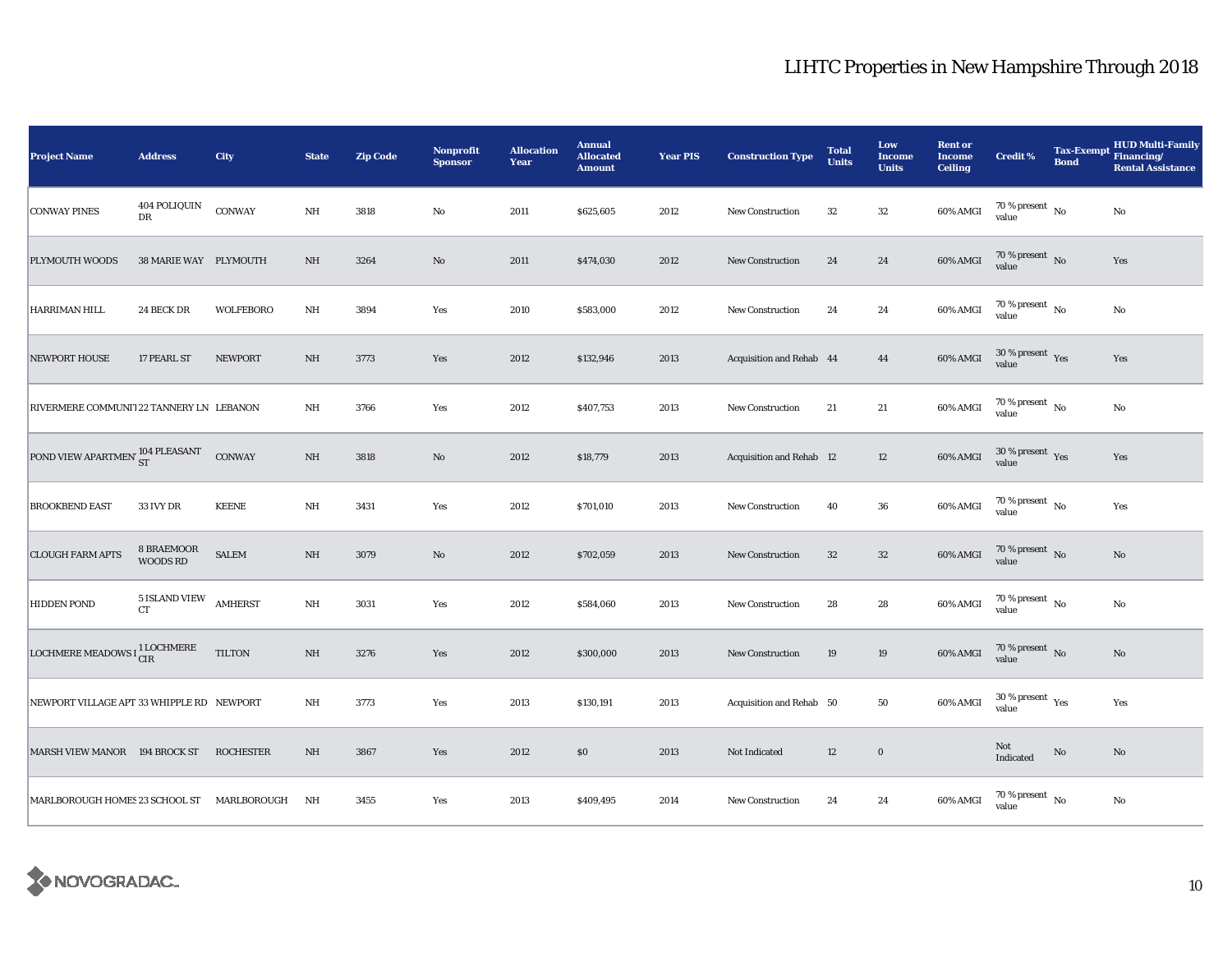| <b>Project Name</b>                             | <b>Address</b>                | City             | <b>State</b> | <b>Zip Code</b> | Nonprofit<br><b>Sponsor</b> | <b>Allocation</b><br>Year | <b>Annual</b><br><b>Allocated</b><br><b>Amount</b> | <b>Year PIS</b> | <b>Construction Type</b> | <b>Total</b><br><b>Units</b> | Low<br><b>Income</b><br><b>Units</b> | <b>Rent or</b><br><b>Income</b><br><b>Ceiling</b> | <b>Credit %</b>                              | <b>Tax-Exempt</b><br><b>Bond</b> | <b>HUD Multi-Family</b><br>Financing/<br><b>Rental Assistance</b> |
|-------------------------------------------------|-------------------------------|------------------|--------------|-----------------|-----------------------------|---------------------------|----------------------------------------------------|-----------------|--------------------------|------------------------------|--------------------------------------|---------------------------------------------------|----------------------------------------------|----------------------------------|-------------------------------------------------------------------|
| <b>CONWAY PINES</b>                             | 404 POLIQUIN<br>DR            | CONWAY           | $\rm{NH}$    | 3818            | $\rm No$                    | 2011                      | \$625,605                                          | 2012            | <b>New Construction</b>  | 32                           | $32\,$                               | 60% AMGI                                          | $70\,\%$ present $\,$ No value               |                                  | No                                                                |
| PLYMOUTH WOODS                                  | 38 MARIE WAY PLYMOUTH         |                  | NH           | 3264            | $\mathbf{No}$               | 2011                      | \$474,030                                          | 2012            | <b>New Construction</b>  | 24                           | 24                                   | 60% AMGI                                          | 70 % present No<br>value                     |                                  | Yes                                                               |
| HARRIMAN HILL                                   | 24 BECK DR                    | <b>WOLFEBORO</b> | $\rm{NH}$    | 3894            | Yes                         | 2010                      | \$583,000                                          | 2012            | New Construction         | 24                           | 24                                   | 60% AMGI                                          | 70 % present $\hbox{~No}$<br>value           |                                  | No                                                                |
| <b>NEWPORT HOUSE</b>                            | 17 PEARL ST                   | <b>NEWPORT</b>   | NH           | 3773            | Yes                         | 2012                      | \$132,946                                          | 2013            | Acquisition and Rehab 44 |                              | 44                                   | 60% AMGI                                          | $30\,\%$ present $\,$ $\rm Yes$<br>value     |                                  | Yes                                                               |
| RIVERMERE COMMUNIT 22 TANNERY LN LEBANON        |                               |                  | NH           | 3766            | Yes                         | 2012                      | \$407,753                                          | 2013            | New Construction         | 21                           | 21                                   | 60% AMGI                                          | 70 % present $\hbox{~No}$<br>value           |                                  | No                                                                |
| POND VIEW APARTMEN' 104 PLEASANT                |                               | CONWAY           | $\rm NH$     | 3818            | No                          | 2012                      | \$18,779                                           | 2013            | Acquisition and Rehab 12 |                              | 12                                   | 60% AMGI                                          | $30\,\%$ present $\,$ Yes value              |                                  | Yes                                                               |
| <b>BROOKBEND EAST</b>                           | <b>33 IVY DR</b>              | <b>KEENE</b>     | $\rm{NH}$    | 3431            | Yes                         | 2012                      | \$701,010                                          | 2013            | <b>New Construction</b>  | 40                           | 36                                   | 60% AMGI                                          | $70\,\%$ present $\,$ No value               |                                  | Yes                                                               |
| <b>CLOUGH FARM APTS</b>                         | 8 BRAEMOOR<br><b>WOODS RD</b> | <b>SALEM</b>     | NH           | 3079            | $\rm No$                    | 2012                      | \$702,059                                          | 2013            | <b>New Construction</b>  | $32\,$                       | $32\,$                               | 60% AMGI                                          | $70\,\%$ present $\,$ No value               |                                  | No                                                                |
| <b>HIDDEN POND</b>                              | $5$ ISLAND VIEW<br><b>CT</b>  | <b>AMHERST</b>   | $\rm{NH}$    | 3031            | Yes                         | 2012                      | \$584,060                                          | 2013            | New Construction         | 28                           | 28                                   | 60% AMGI                                          | 70 % present $\hbox{~No}$<br>value           |                                  | No                                                                |
| LOCHMERE MEADOWS $I_{CIR}^{1 \text{ LOCHMERE}}$ |                               | <b>TILTON</b>    | NH           | 3276            | Yes                         | 2012                      | \$300,000                                          | 2013            | New Construction         | 19                           | 19                                   | 60% AMGI                                          | 70 % present $\hbox{~No}$<br>value           |                                  | $\mathbf{N}\mathbf{o}$                                            |
| NEWPORT VILLAGE APT 33 WHIPPLE RD NEWPORT       |                               |                  | NH           | 3773            | Yes                         | 2013                      | \$130,191                                          | 2013            | Acquisition and Rehab 50 |                              | 50                                   | 60% AMGI                                          | $30$ % present $\rm\thinspace\,Yes$<br>value |                                  | Yes                                                               |
| MARSH VIEW MANOR 194 BROCK ST                   |                               | <b>ROCHESTER</b> | $\rm{NH}$    | 3867            | Yes                         | 2012                      | \$0                                                | 2013            | Not Indicated            | 12                           | $\bf{0}$                             |                                                   | Not<br>Indicated                             | $\rm No$                         | No                                                                |
| MARLBOROUGH HOMES 23 SCHOOL ST MARLBOROUGH      |                               |                  | NH           | 3455            | Yes                         | 2013                      | \$409,495                                          | 2014            | <b>New Construction</b>  | 24                           | 24                                   | 60% AMGI                                          | 70 % present $\hbox{~No}$<br>value           |                                  | No                                                                |

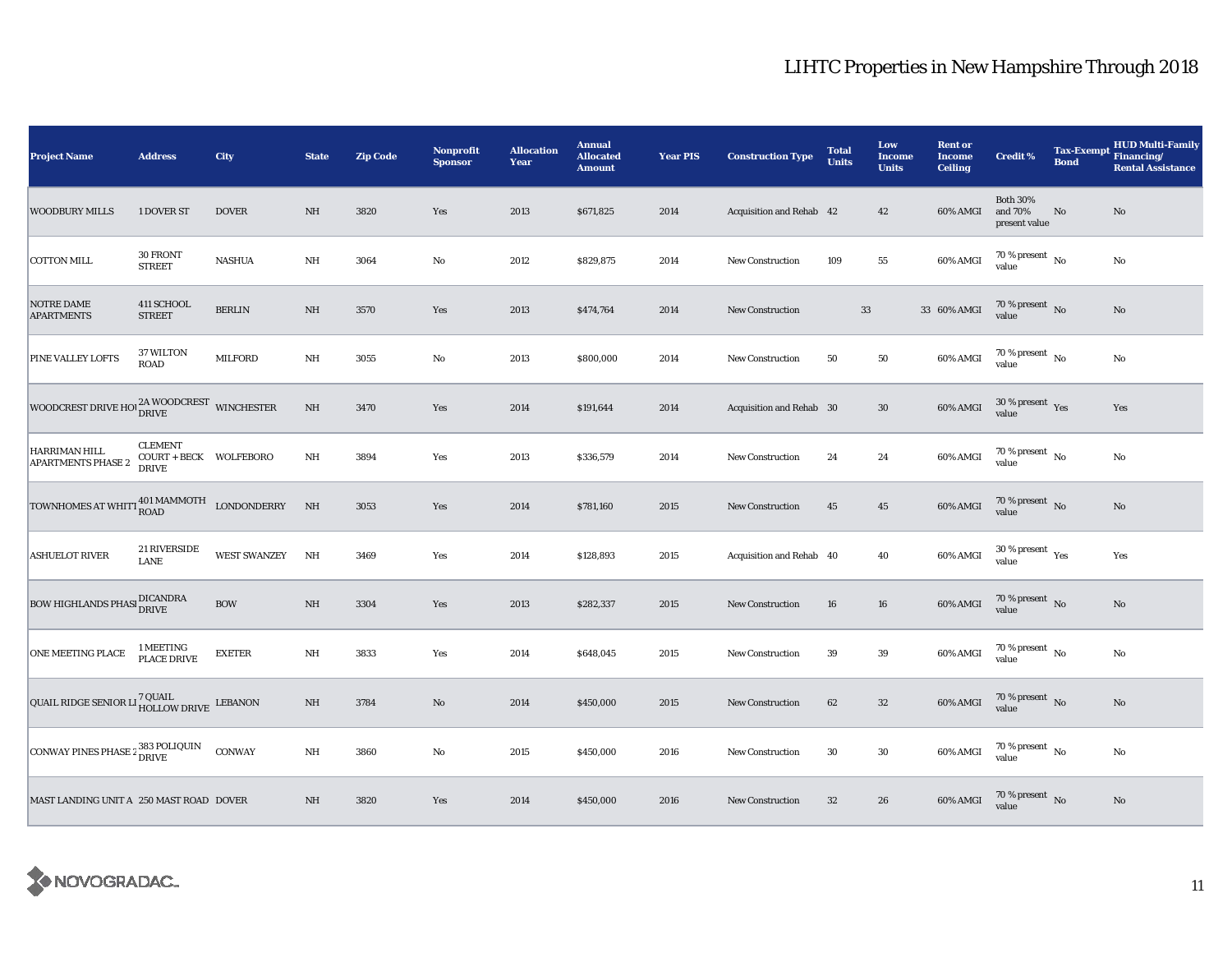| <b>Project Name</b>                                              | <b>Address</b>                                           | City                | <b>State</b>            | <b>Zip Code</b> | <b>Nonprofit</b><br><b>Sponsor</b> | <b>Allocation</b><br>Year | <b>Annual</b><br><b>Allocated</b><br><b>Amount</b> | <b>Year PIS</b> | <b>Construction Type</b> | <b>Total</b><br>Units | Low<br><b>Income</b><br><b>Units</b> | <b>Rent or</b><br><b>Income</b><br><b>Ceiling</b> | <b>Credit %</b>                             | <b>Tax-Exempt</b><br><b>Bond</b> | <b>HUD Multi-Family</b><br>Financing/<br><b>Rental Assistance</b> |
|------------------------------------------------------------------|----------------------------------------------------------|---------------------|-------------------------|-----------------|------------------------------------|---------------------------|----------------------------------------------------|-----------------|--------------------------|-----------------------|--------------------------------------|---------------------------------------------------|---------------------------------------------|----------------------------------|-------------------------------------------------------------------|
| <b>WOODBURY MILLS</b>                                            | 1 DOVER ST                                               | <b>DOVER</b>        | NH                      | 3820            | Yes                                | 2013                      | \$671,825                                          | 2014            | Acquisition and Rehab 42 |                       | 42                                   | 60% AMGI                                          | <b>Both 30%</b><br>and 70%<br>present value | No                               | No                                                                |
| <b>COTTON MILL</b>                                               | 30 FRONT<br><b>STREET</b>                                | <b>NASHUA</b>       | $\rm{NH}$               | 3064            | No                                 | 2012                      | \$829,875                                          | 2014            | <b>New Construction</b>  | 109                   | 55                                   | 60% AMGI                                          | 70 % present $\,$ No $\,$<br>value          |                                  | No                                                                |
| <b>NOTRE DAME</b><br><b>APARTMENTS</b>                           | 411 SCHOOL<br><b>STREET</b>                              | <b>BERLIN</b>       | $\rm{NH}$               | 3570            | Yes                                | 2013                      | \$474,764                                          | 2014            | <b>New Construction</b>  | $33\,$                |                                      | 33 60% AMGI                                       | $70\,\%$ present $_{\rm{No}}$               |                                  | No                                                                |
| PINE VALLEY LOFTS                                                | 37 WILTON<br><b>ROAD</b>                                 | <b>MILFORD</b>      | $\rm{NH}$               | 3055            | No                                 | 2013                      | \$800,000                                          | 2014            | New Construction         | 50                    | ${\bf 50}$                           | 60% AMGI                                          | 70 % present $\hbox{~No}$<br>value          |                                  | No                                                                |
| WOODCREST DRIVE HOI $_{\rm DRIVE}^{2\rm A}$ WOODCREST WINCHESTER |                                                          |                     | $\rm{NH}$               | 3470            | Yes                                | 2014                      | \$191,644                                          | 2014            | Acquisition and Rehab 30 |                       | $30\,$                               | 60% AMGI                                          | $30\,\%$ present $\,$ Yes value             |                                  | Yes                                                               |
| HARRIMAN HILL<br><b>APARTMENTS PHASE 2</b>                       | <b>CLEMENT</b><br>COURT + BECK WOLFEBORO<br><b>DRIVE</b> |                     | NH                      | 3894            | Yes                                | 2013                      | \$336,579                                          | 2014            | <b>New Construction</b>  | 24                    | 24                                   | 60% AMGI                                          | $70$ % present $\,$ No $\,$<br>value        |                                  | No                                                                |
| TOWNHOMES AT WHITT ROAD MAMMOTH LONDONDERRY                      |                                                          |                     | NH                      | 3053            | Yes                                | 2014                      | \$781,160                                          | 2015            | New Construction         | 45                    | $45\,$                               | 60% AMGI                                          | $70\,\%$ present $\,$ No value              |                                  | $\mathbf{N}\mathbf{o}$                                            |
| <b>ASHUELOT RIVER</b>                                            | 21 RIVERSIDE<br><b>LANE</b>                              | <b>WEST SWANZEY</b> | NH                      | 3469            | Yes                                | 2014                      | \$128,893                                          | 2015            | Acquisition and Rehab 40 |                       | 40                                   | 60% AMGI                                          | $30\,\%$ present $\,$ Yes value             |                                  | Yes                                                               |
| BOW HIGHLANDS PHASI DICANDRA                                     |                                                          | <b>BOW</b>          | $\rm{NH}$               | 3304            | Yes                                | 2013                      | \$282,337                                          | 2015            | New Construction         | 16                    | 16                                   | 60% AMGI                                          | $70\,\%$ present $\,$ No value              |                                  | $\mathbf{N}\mathbf{o}$                                            |
| ONE MEETING PLACE                                                | 1 MEETING<br>PLACE DRIVE                                 | ${\tt EXETER}$      | $\mathbf{N} \mathbf{H}$ | 3833            | Yes                                | 2014                      | \$648,045                                          | 2015            | <b>New Construction</b>  | 39                    | $\bf 39$                             | 60% AMGI                                          | $70$ % present $\,$ No $\,$<br>value        |                                  | $\rm No$                                                          |
| QUAIL RIDGE SENIOR LI <sup>7</sup> QUAIL<br>HOLLOW DRIVE LEBANON |                                                          |                     | $\rm{NH}$               | 3784            | $\mathbf{N}\mathbf{o}$             | 2014                      | \$450,000                                          | 2015            | New Construction         | 62                    | $32\phantom{.0}$                     | 60% AMGI                                          | $70\,\%$ present $${\rm No}$$ value         |                                  | No                                                                |
| CONWAY PINES PHASE 2 383 POLIQUIN                                |                                                          | <b>CONWAY</b>       | $\rm{NH}$               | 3860            | No                                 | 2015                      | \$450,000                                          | 2016            | <b>New Construction</b>  | 30                    | $30\,$                               | 60% AMGI                                          | $70$ % present $\,$ No $\,$<br>value        |                                  | No                                                                |
| MAST LANDING UNIT A 250 MAST ROAD DOVER                          |                                                          |                     | $\rm{NH}$               | 3820            | Yes                                | 2014                      | \$450,000                                          | 2016            | New Construction         | 32                    | 26                                   | 60% AMGI                                          | $70\,\%$ present $\,$ No value              |                                  | No                                                                |

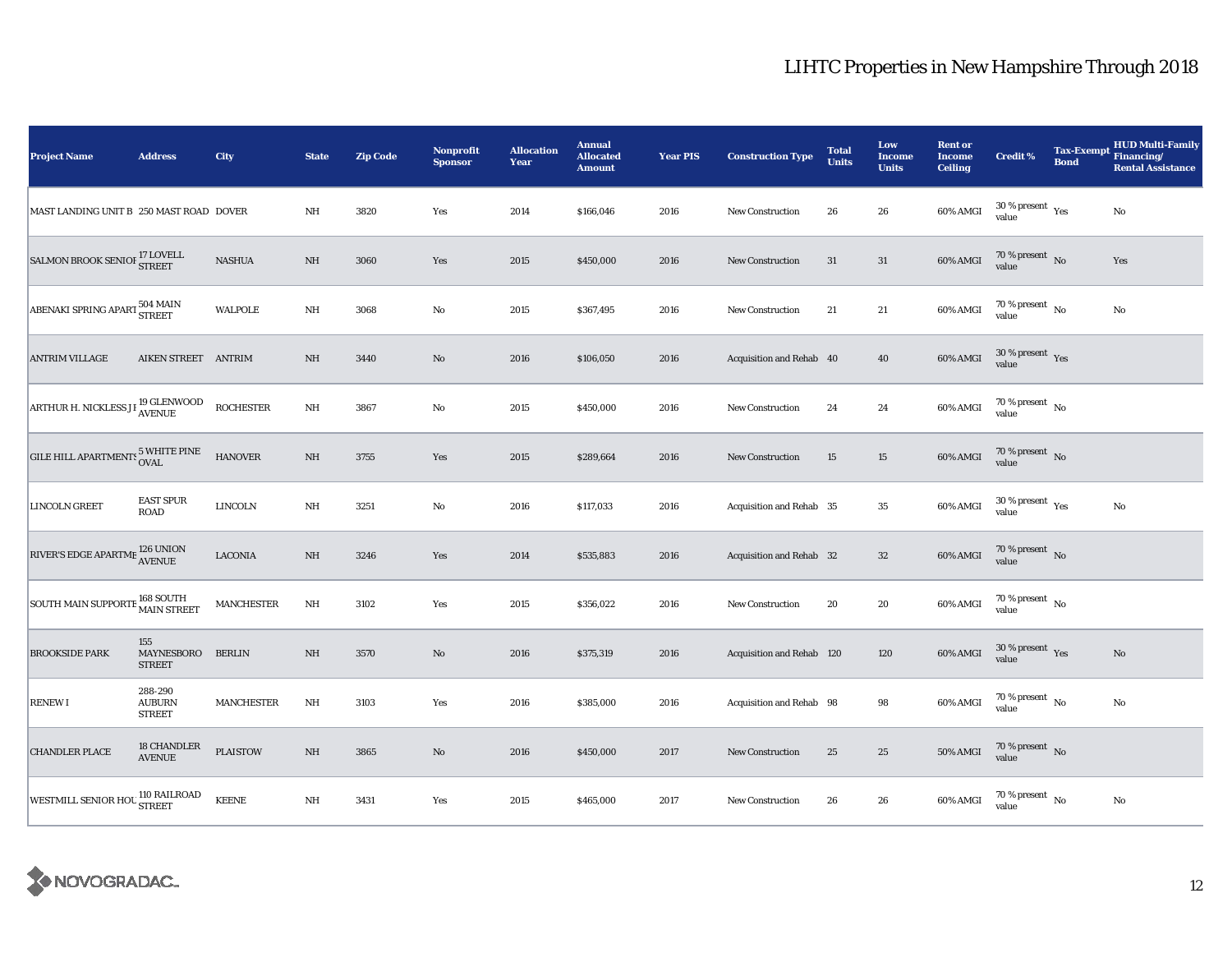| <b>Project Name</b>                                  | <b>Address</b>                                  | City                             | <b>State</b> | <b>Zip Code</b> | <b>Nonprofit</b><br><b>Sponsor</b> | <b>Allocation</b><br>Year | <b>Annual</b><br><b>Allocated</b><br><b>Amount</b> | <b>Year PIS</b> | <b>Construction Type</b>  | <b>Total</b><br><b>Units</b> | Low<br><b>Income</b><br><b>Units</b> | <b>Rent or</b><br><b>Income</b><br><b>Ceiling</b> | <b>Credit %</b>                              | Tax-Exempt Financing/<br><b>Bond</b> | <b>HUD Multi-Family</b><br><b>Rental Assistance</b> |
|------------------------------------------------------|-------------------------------------------------|----------------------------------|--------------|-----------------|------------------------------------|---------------------------|----------------------------------------------------|-----------------|---------------------------|------------------------------|--------------------------------------|---------------------------------------------------|----------------------------------------------|--------------------------------------|-----------------------------------------------------|
| MAST LANDING UNIT B 250 MAST ROAD DOVER              |                                                 |                                  | NH           | 3820            | Yes                                | 2014                      | \$166,046                                          | 2016            | <b>New Construction</b>   | 26                           | 26                                   | 60% AMGI                                          | $30$ % present $\rm\thinspace\,Yes$<br>value |                                      | No                                                  |
| SALMON BROOK SENIOF $^{17}_{\rm STREET}$             |                                                 | $\operatorname{\mathsf{NASHUA}}$ | $\rm{NH}$    | 3060            | Yes                                | 2015                      | \$450,000                                          | 2016            | <b>New Construction</b>   | 31                           | 31                                   | 60% AMGI                                          | $70$ % present $\,$ No $\,$<br>value         |                                      | Yes                                                 |
| ABENAKI SPRING APART 504 MAIN                        |                                                 | <b>WALPOLE</b>                   | $\rm{NH}$    | 3068            | No                                 | 2015                      | \$367,495                                          | 2016            | New Construction          | 21                           | $21\,$                               | 60% AMGI                                          | $70$ % present $\,$ No $\,$<br>value         |                                      | $\rm No$                                            |
| <b>ANTRIM VILLAGE</b>                                | AIKEN STREET ANTRIM                             |                                  | $\rm{NH}$    | 3440            | $\mathbf{N}\mathbf{o}$             | 2016                      | \$106,050                                          | 2016            | Acquisition and Rehab 40  |                              | 40                                   | 60% AMGI                                          | $30\,\%$ present $\,$ Yes value              |                                      |                                                     |
| ARTHUR H. NICKLESS JI <sup>19</sup> GLENWOOD         |                                                 | <b>ROCHESTER</b>                 | $\rm{NH}$    | 3867            | No                                 | 2015                      | \$450,000                                          | 2016            | <b>New Construction</b>   | 24                           | $\bf 24$                             | 60% AMGI                                          | $70\,\%$ present $\,$ No value               |                                      |                                                     |
| GILE HILL APARTMENTS 5 WHITE PINE                    |                                                 | <b>HANOVER</b>                   | $\rm{NH}$    | 3755            | Yes                                | 2015                      | \$289,664                                          | 2016            | New Construction          | 15                           | 15                                   | 60% AMGI                                          | $70\,\%$ present $\,$ No value               |                                      |                                                     |
| LINCOLN GREET                                        | <b>EAST SPUR</b><br>ROAD                        | <b>LINCOLN</b>                   | $\rm{NH}$    | 3251            | $\mathbf{No}$                      | 2016                      | \$117,033                                          | 2016            | Acquisition and Rehab 35  |                              | $\bf 35$                             | 60% AMGI                                          | $30\,\%$ present $\,$ Yes value              |                                      | $\rm No$                                            |
| RIVER'S EDGE APARTME $^{126}_{\Lambda \text{VENUE}}$ |                                                 | <b>LACONIA</b>                   | $\rm NH$     | 3246            | Yes                                | 2014                      | \$535,883                                          | 2016            | Acquisition and Rehab 32  |                              | $32\phantom{.0}$                     | 60% AMGI                                          | $70\,\%$ present $\,$ No value               |                                      |                                                     |
| SOUTH MAIN SUPPORTE 168 SOUTH                        |                                                 | <b>MANCHESTER</b>                | NH           | 3102            | Yes                                | 2015                      | \$356,022                                          | 2016            | New Construction          | 20                           | 20                                   | 60% AMGI                                          | $70$ % present $\,$ No $\,$<br>value         |                                      |                                                     |
| <b>BROOKSIDE PARK</b>                                | 155<br>MAYNESBORO<br><b>STREET</b>              | <b>BERLIN</b>                    | $\rm{NH}$    | 3570            | $\mathbf{N}\mathbf{o}$             | 2016                      | \$375,319                                          | 2016            | Acquisition and Rehab 120 |                              | 120                                  | 60% AMGI                                          | $30\,\%$ present $\,$ Yes value              |                                      | $\mathbf{N}\mathbf{o}$                              |
| <b>RENEW I</b>                                       | 288-290<br><b>AUBURN</b><br><b>STREET</b>       | <b>MANCHESTER</b>                | $\rm{NH}$    | 3103            | Yes                                | 2016                      | \$385,000                                          | 2016            | Acquisition and Rehab 98  |                              | 98                                   | 60% AMGI                                          | 70 % present $\hbox{~No}$<br>value           |                                      | No                                                  |
| <b>CHANDLER PLACE</b>                                | 18 CHANDLER<br>$\operatorname{\textbf{AVENUE}}$ | <b>PLAISTOW</b>                  | $\rm{NH}$    | 3865            | $\mathbf{N}\mathbf{o}$             | 2016                      | \$450,000                                          | 2017            | <b>New Construction</b>   | 25                           | $25\,$                               | $50\%$ AMGI                                       | $70\,\%$ present $${\rm No}$$ value          |                                      |                                                     |
| WESTMILL SENIOR HOU 110 RAILROAD                     |                                                 | <b>KEENE</b>                     | $\rm{NH}$    | 3431            | Yes                                | 2015                      | \$465,000                                          | 2017            | <b>New Construction</b>   | 26                           | 26                                   | 60% AMGI                                          | $70\,\%$ present $\,$ No value               |                                      | No                                                  |

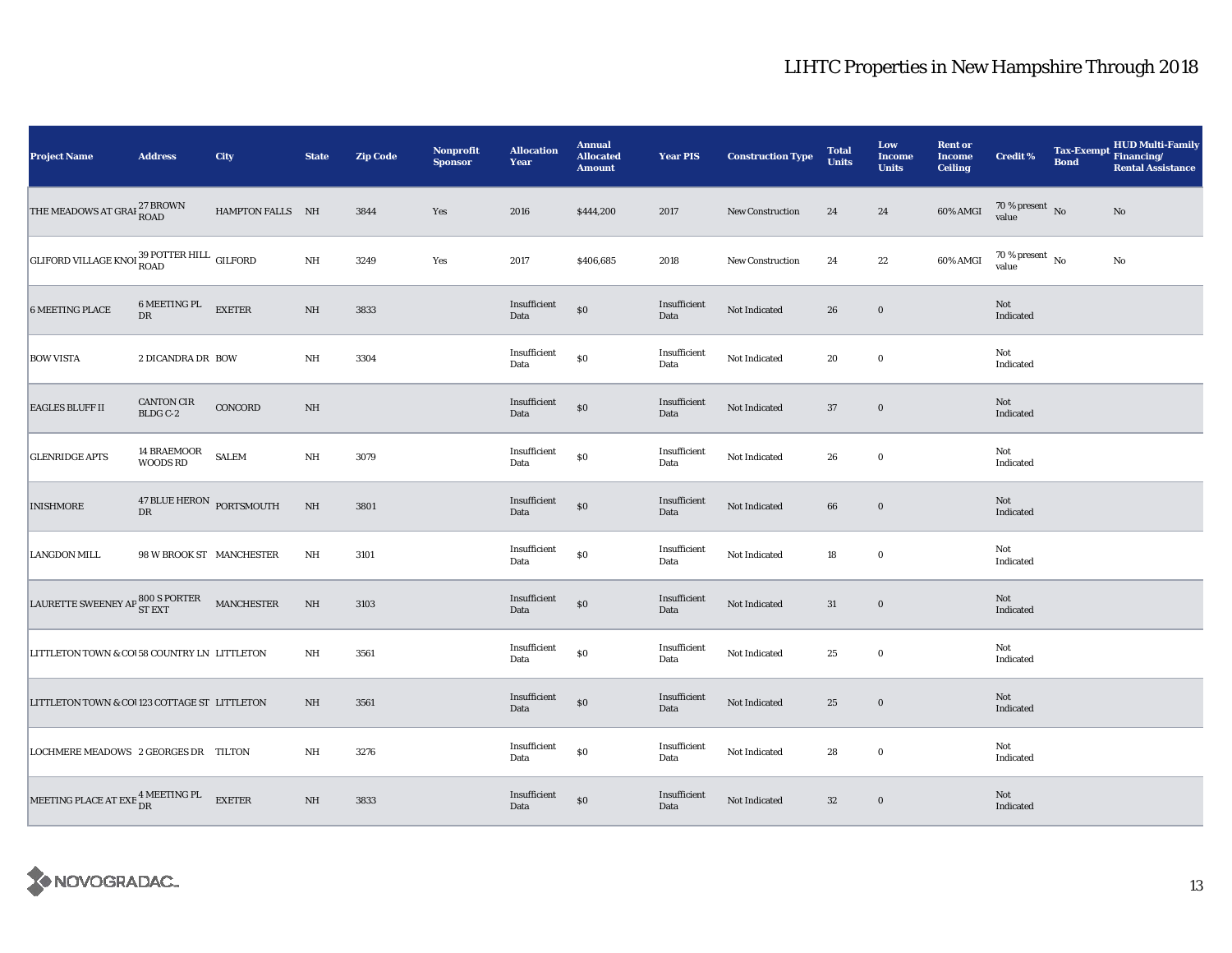| <b>Project Name</b>                                                                                 | <b>Address</b>                                                                      | <b>City</b>      | <b>State</b> | <b>Zip Code</b> | <b>Nonprofit</b><br><b>Sponsor</b> | <b>Allocation</b><br>Year | <b>Annual</b><br><b>Allocated</b><br><b>Amount</b> | <b>Year PIS</b>      | <b>Construction Type</b> | <b>Total</b><br><b>Units</b> | Low<br>Income<br><b>Units</b> | <b>Rent or</b><br><b>Income</b><br><b>Ceiling</b> | <b>Credit %</b>                        | <b>Tax-Exempt</b><br><b>Bond</b> | HUD Multi-Family<br>Financing/<br><b>Rental Assistance</b> |
|-----------------------------------------------------------------------------------------------------|-------------------------------------------------------------------------------------|------------------|--------------|-----------------|------------------------------------|---------------------------|----------------------------------------------------|----------------------|--------------------------|------------------------------|-------------------------------|---------------------------------------------------|----------------------------------------|----------------------------------|------------------------------------------------------------|
| THE MEADOWS AT GRAI $_{\rm{ROAD}}^{27}$ BROWN                                                       |                                                                                     | HAMPTON FALLS NH |              | 3844            | Yes                                | 2016                      | \$444,200                                          | 2017                 | <b>New Construction</b>  | 24                           | 24                            | 60% AMGI                                          | $70\,\%$ present $\,$ No value         |                                  | No                                                         |
| GLIFORD VILLAGE KNOI 39 POTTER HILL GILFORD                                                         |                                                                                     |                  | $\rm{NH}$    | 3249            | Yes                                | 2017                      | \$406,685                                          | 2018                 | <b>New Construction</b>  | 24                           | $22\,$                        | 60% AMGI                                          | $70\,\%$ present $\,$ No $\,$<br>value |                                  | No                                                         |
| <b>6 MEETING PLACE</b>                                                                              | 6 MEETING PL EXETER<br>DR                                                           |                  | NH           | 3833            |                                    | Insufficient<br>Data      | $\$0$                                              | Insufficient<br>Data | Not Indicated            | 26                           | $\bf{0}$                      |                                                   | Not<br>Indicated                       |                                  |                                                            |
| <b>BOW VISTA</b>                                                                                    | 2 DICANDRA DR BOW                                                                   |                  | NH           | 3304            |                                    | Insufficient<br>Data      | \$0                                                | Insufficient<br>Data | Not Indicated            | 20                           | $\bf{0}$                      |                                                   | Not<br>Indicated                       |                                  |                                                            |
| <b>EAGLES BLUFF II</b>                                                                              | CANTON CIR<br>BLDG C-2                                                              | CONCORD          | $\rm{NH}$    |                 |                                    | Insufficient<br>Data      | \$0                                                | Insufficient<br>Data | Not Indicated            | 37                           | $\bf{0}$                      |                                                   | Not<br>Indicated                       |                                  |                                                            |
| <b>GLENRIDGE APTS</b>                                                                               | $\begin{tabular}{ll} \bf 14 \, BRAEMOOR & SALEM \\ \bf WOODS \, RD & \end{tabular}$ |                  | $\rm{NH}$    | 3079            |                                    | Insufficient<br>Data      | $\$0$                                              | Insufficient<br>Data | Not Indicated            | 26                           | $\bf{0}$                      |                                                   | Not<br>Indicated                       |                                  |                                                            |
| <b>INISHMORE</b>                                                                                    | $47$ BLUE HERON $\,$ PORTSMOUTH $\,$ DR                                             |                  | $\rm{NH}$    | 3801            |                                    | Insufficient<br>Data      | $\$0$                                              | Insufficient<br>Data | Not Indicated            | 66                           | $\bf{0}$                      |                                                   | Not<br>Indicated                       |                                  |                                                            |
| <b>LANGDON MILL</b>                                                                                 | 98 W BROOK ST MANCHESTER                                                            |                  | NH           | 3101            |                                    | Insufficient<br>Data      | \$0                                                | Insufficient<br>Data | Not Indicated            | $18\,$                       | $\bf{0}$                      |                                                   | Not<br>Indicated                       |                                  |                                                            |
| LAURETTE SWEENEY AP $_{\mathbf{ST}\, \mathrm{EXT}}^{800\, \mathrm{S}\, \mathrm{PORTER}}$ MANCHESTER |                                                                                     |                  | $\rm{NH}$    | 3103            |                                    | Insufficient<br>Data      | \$0                                                | Insufficient<br>Data | Not Indicated            | 31                           | $\bf{0}$                      |                                                   | Not<br>Indicated                       |                                  |                                                            |
| LITTLETON TOWN & COI 58 COUNTRY LN LITTLETON                                                        |                                                                                     |                  | NH           | 3561            |                                    | Insufficient<br>Data      | $\$0$                                              | Insufficient<br>Data | Not Indicated            | 25                           | $\bf{0}$                      |                                                   | Not<br>Indicated                       |                                  |                                                            |
| LITTLETON TOWN & COU23 COTTAGE ST LITTLETON                                                         |                                                                                     |                  | NH           | 3561            |                                    | Insufficient<br>Data      | \$0                                                | Insufficient<br>Data | Not Indicated            | 25                           | $\bf{0}$                      |                                                   | Not<br>Indicated                       |                                  |                                                            |
| LOCHMERE MEADOWS 2 GEORGES DR TILTON                                                                |                                                                                     |                  | NH           | 3276            |                                    | Insufficient<br>Data      | $\$0$                                              | Insufficient<br>Data | Not Indicated            | 28                           | $\mathbf 0$                   |                                                   | Not<br>Indicated                       |                                  |                                                            |
| MEETING PLACE AT EXE $\frac{4 \text{ MEETING PL}}{\text{DR}}$ EXETER                                |                                                                                     |                  | $\rm{NH}$    | 3833            |                                    | Insufficient<br>Data      | \$0                                                | Insufficient<br>Data | Not Indicated            | $32\,$                       | $\bf{0}$                      |                                                   | Not<br>Indicated                       |                                  |                                                            |

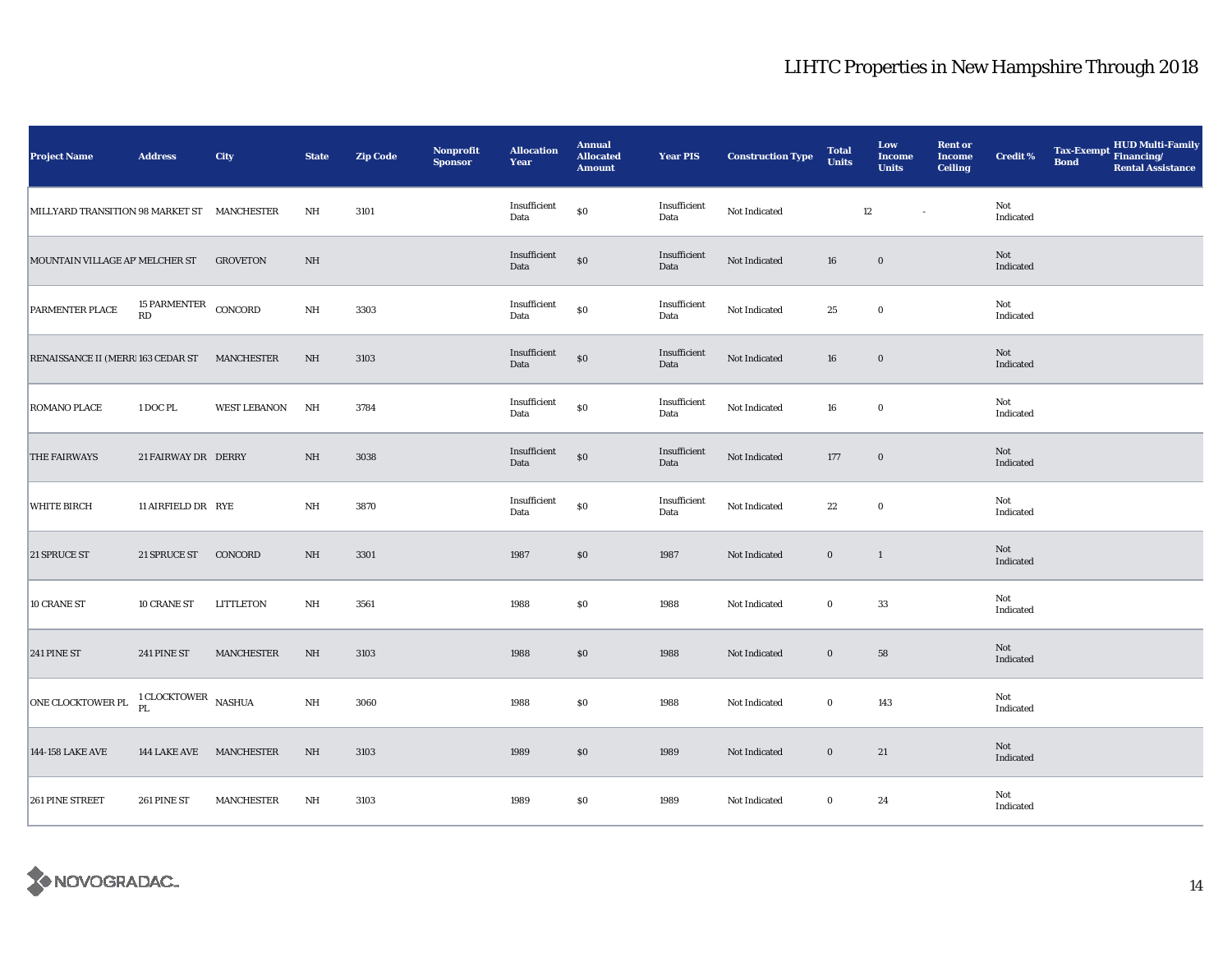| <b>Project Name</b>                         | <b>Address</b>             | City                | <b>State</b>    | <b>Zip Code</b> | Nonprofit<br><b>Sponsor</b> | <b>Allocation</b><br>Year | <b>Annual</b><br><b>Allocated</b><br><b>Amount</b> | <b>Year PIS</b>      | <b>Construction Type</b> | <b>Total</b><br><b>Units</b> | Low<br><b>Income</b><br><b>Units</b> | <b>Rent or</b><br><b>Income</b><br><b>Ceiling</b> | <b>Credit %</b>  | Tax-Exempt HUD Multi-Family<br><b>Bond</b><br><b>Rental Assistance</b> |  |
|---------------------------------------------|----------------------------|---------------------|-----------------|-----------------|-----------------------------|---------------------------|----------------------------------------------------|----------------------|--------------------------|------------------------------|--------------------------------------|---------------------------------------------------|------------------|------------------------------------------------------------------------|--|
| MILLYARD TRANSITION 98 MARKET ST MANCHESTER |                            |                     | NH              | 3101            |                             | Insufficient<br>Data      | $\$0$                                              | Insufficient<br>Data | Not Indicated            | 12                           | $\sim$                               |                                                   | Not<br>Indicated |                                                                        |  |
| MOUNTAIN VILLAGE AP' MELCHER ST             |                            | <b>GROVETON</b>     | $\rm{NH}$       |                 |                             | Insufficient<br>Data      | \$0                                                | Insufficient<br>Data | Not Indicated            | 16                           | $\bf{0}$                             |                                                   | Not<br>Indicated |                                                                        |  |
| PARMENTER PLACE                             | 15 PARMENTER CONCORD<br>RD |                     | $\mathbf{NH}{}$ | 3303            |                             | Insufficient<br>Data      | ${\bf S0}$                                         | Insufficient<br>Data | Not Indicated            | 25                           | $\bf{0}$                             |                                                   | Not<br>Indicated |                                                                        |  |
| RENAISSANCE II (MERR 163 CEDAR ST           |                            | <b>MANCHESTER</b>   | NH              | 3103            |                             | Insufficient<br>Data      | $\$0$                                              | Insufficient<br>Data | Not Indicated            | 16                           | $\bf{0}$                             |                                                   | Not<br>Indicated |                                                                        |  |
| ROMANO PLACE                                | 1 DOC PL                   | <b>WEST LEBANON</b> | NH              | 3784            |                             | Insufficient<br>Data      | $\$0$                                              | Insufficient<br>Data | Not Indicated            | 16                           | $\bf{0}$                             |                                                   | Not<br>Indicated |                                                                        |  |
| THE FAIRWAYS                                | 21 FAIRWAY DR DERRY        |                     | $\rm NH$        | 3038            |                             | Insufficient<br>Data      | $\$0$                                              | Insufficient<br>Data | Not Indicated            | 177                          | $\boldsymbol{0}$                     |                                                   | Not<br>Indicated |                                                                        |  |
| <b>WHITE BIRCH</b>                          | 11 AIRFIELD DR RYE         |                     | NH              | 3870            |                             | Insufficient<br>Data      | ${\bf S0}$                                         | Insufficient<br>Data | Not Indicated            | $\bf{22}$                    | $\mathbf 0$                          |                                                   | Not<br>Indicated |                                                                        |  |
| 21 SPRUCE ST                                | 21 SPRUCE ST               | CONCORD             | $\rm NH$        | 3301            |                             | 1987                      | $\$0$                                              | 1987                 | Not Indicated            | $\boldsymbol{0}$             | $\mathbf{1}$                         |                                                   | Not<br>Indicated |                                                                        |  |
| 10 CRANE ST                                 | 10 CRANE ST                | LITTLETON           | NH              | 3561            |                             | 1988                      | \$0                                                | 1988                 | Not Indicated            | $\bf{0}$                     | 33                                   |                                                   | Not<br>Indicated |                                                                        |  |
| 241 PINE ST                                 | 241 PINE ST                | <b>MANCHESTER</b>   | $\rm{NH}$       | 3103            |                             | 1988                      | \$0                                                | 1988                 | Not Indicated            | $\mathbf 0$                  | 58                                   |                                                   | Not<br>Indicated |                                                                        |  |
| ONE CLOCKTOWER PL                           | 1 CLOCKTOWER NASHUA        |                     | $\rm{NH}$       | 3060            |                             | 1988                      | \$0                                                | 1988                 | Not Indicated            | $\bf{0}$                     | 143                                  |                                                   | Not<br>Indicated |                                                                        |  |
| 144-158 LAKE AVE                            | 144 LAKE AVE MANCHESTER    |                     | $\rm{NH}$       | 3103            |                             | 1989                      | $\$0$                                              | 1989                 | Not Indicated            | $\bf{0}$                     | 21                                   |                                                   | Not<br>Indicated |                                                                        |  |
| 261 PINE STREET                             | 261 PINE ST                | <b>MANCHESTER</b>   | $\rm{NH}$       | 3103            |                             | 1989                      | \$0                                                | 1989                 | Not Indicated            | $\bf{0}$                     | 24                                   |                                                   | Not<br>Indicated |                                                                        |  |

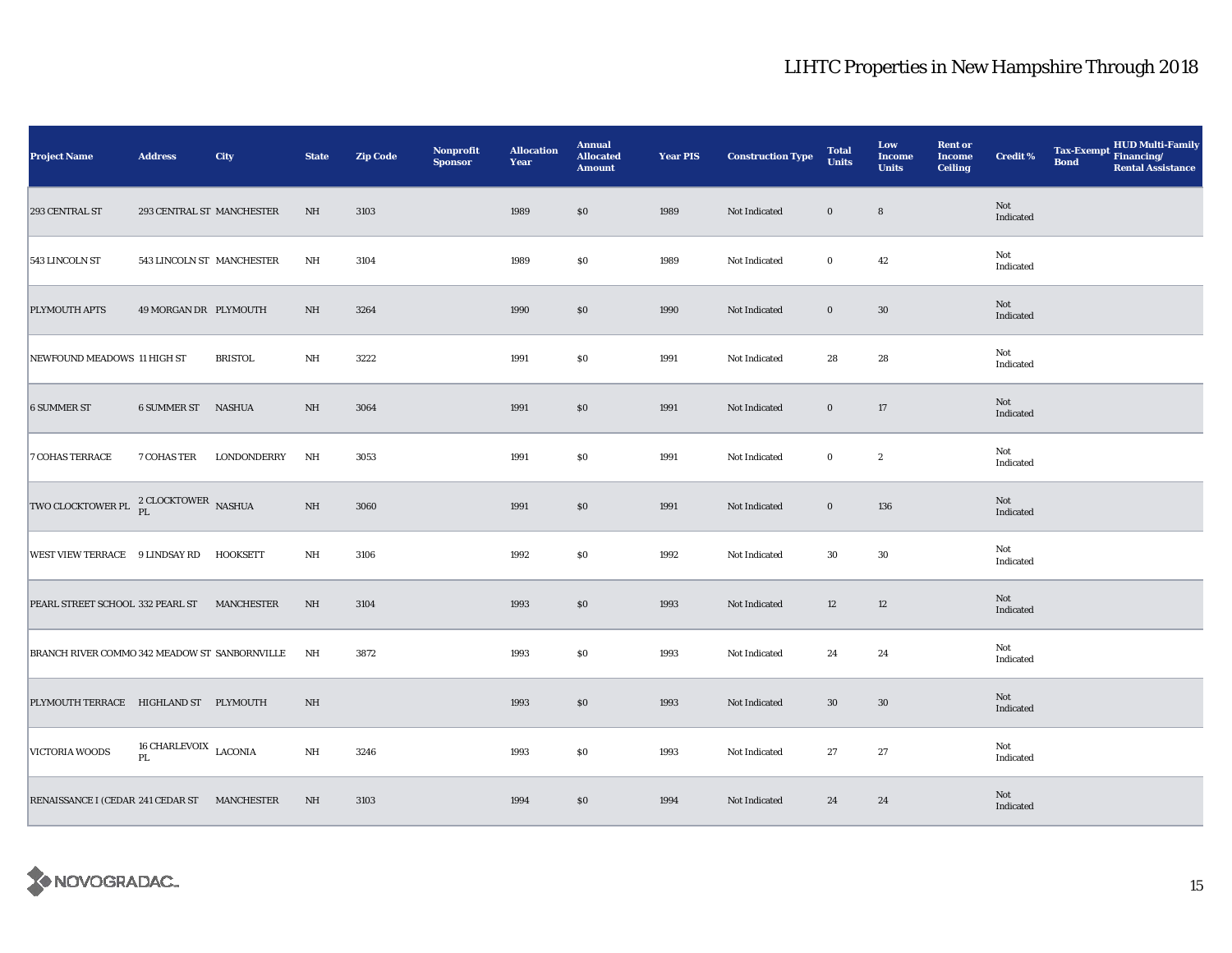| <b>Project Name</b>                              | <b>Address</b>                  | City           | <b>State</b>            | <b>Zip Code</b> | Nonprofit<br><b>Sponsor</b> | <b>Allocation</b><br>Year | <b>Annual</b><br><b>Allocated</b><br><b>Amount</b> | <b>Year PIS</b> | <b>Construction Type</b> | <b>Total</b><br><b>Units</b> | Low<br><b>Income</b><br><b>Units</b> | <b>Rent or</b><br><b>Income</b><br><b>Ceiling</b> | <b>Credit %</b>  | Tax-Exempt Financing/<br><b>Bond</b> | <b>HUD Multi-Family</b><br><b>Rental Assistance</b> |
|--------------------------------------------------|---------------------------------|----------------|-------------------------|-----------------|-----------------------------|---------------------------|----------------------------------------------------|-----------------|--------------------------|------------------------------|--------------------------------------|---------------------------------------------------|------------------|--------------------------------------|-----------------------------------------------------|
| 293 CENTRAL ST                                   | 293 CENTRAL ST MANCHESTER       |                | NH                      | 3103            |                             | 1989                      | \$0                                                | 1989            | Not Indicated            | $\bf{0}$                     | $\bf8$                               |                                                   | Not<br>Indicated |                                      |                                                     |
| 543 LINCOLN ST                                   | 543 LINCOLN ST MANCHESTER       |                | NH                      | 3104            |                             | 1989                      | $\$0$                                              | 1989            | Not Indicated            | $\bf{0}$                     | $42\,$                               |                                                   | Not<br>Indicated |                                      |                                                     |
| PLYMOUTH APTS                                    | 49 MORGAN DR PLYMOUTH           |                | NH                      | 3264            |                             | 1990                      | \$0                                                | 1990            | Not Indicated            | $\bf{0}$                     | 30                                   |                                                   | Not<br>Indicated |                                      |                                                     |
| NEWFOUND MEADOWS 11 HIGH ST                      |                                 | <b>BRISTOL</b> | NH                      | 3222            |                             | 1991                      | <b>SO</b>                                          | 1991            | Not Indicated            | 28                           | 28                                   |                                                   | Not<br>Indicated |                                      |                                                     |
| <b>6 SUMMER ST</b>                               | <b>6 SUMMER ST NASHUA</b>       |                | $\rm{NH}$               | 3064            |                             | 1991                      | $\$0$                                              | 1991            | Not Indicated            | $\bf{0}$                     | 17                                   |                                                   | Not<br>Indicated |                                      |                                                     |
| <b>7 COHAS TERRACE</b>                           | 7 COHAS TER                     | LONDONDERRY    | NH                      | 3053            |                             | 1991                      | \$0                                                | 1991            | Not Indicated            | $\bf{0}$                     | $\boldsymbol{2}$                     |                                                   | Not<br>Indicated |                                      |                                                     |
| TWO CLOCKTOWER PL <sup>2</sup> CLOCKTOWER NASHUA |                                 |                | $\rm{NH}$               | 3060            |                             | 1991                      | $\$0$                                              | 1991            | Not Indicated            | $\bf{0}$                     | 136                                  |                                                   | Not<br>Indicated |                                      |                                                     |
| WEST VIEW TERRACE 9 LINDSAY RD                   |                                 | HOOKSETT       | NH                      | 3106            |                             | 1992                      | $\$0$                                              | 1992            | Not Indicated            | 30                           | 30                                   |                                                   | Not<br>Indicated |                                      |                                                     |
| PEARL STREET SCHOOL 332 PEARL ST MANCHESTER      |                                 |                | $\rm{NH}$               | 3104            |                             | 1993                      | $\$0$                                              | 1993            | Not Indicated            | 12                           | 12                                   |                                                   | Not<br>Indicated |                                      |                                                     |
| BRANCH RIVER COMMO 342 MEADOW ST SANBORNVILLE    |                                 |                | NH                      | 3872            |                             | 1993                      | \$0                                                | 1993            | Not Indicated            | 24                           | 24                                   |                                                   | Not<br>Indicated |                                      |                                                     |
| PLYMOUTH TERRACE HIGHLAND ST PLYMOUTH            |                                 |                | $\rm{NH}$               |                 |                             | 1993                      | \$0                                                | 1993            | Not Indicated            | 30                           | 30                                   |                                                   | Not<br>Indicated |                                      |                                                     |
| VICTORIA WOODS                                   | $16$ CHARLEVOIX $\,$ LACONIA PL |                | $\mathbf{N} \mathbf{H}$ | 3246            |                             | 1993                      | \$0                                                | 1993            | Not Indicated            | 27                           | 27                                   |                                                   | Not<br>Indicated |                                      |                                                     |
| RENAISSANCE I (CEDAR 241 CEDAR ST MANCHESTER     |                                 |                | $\rm{NH}$               | 3103            |                             | 1994                      | $\$0$                                              | 1994            | Not Indicated            | 24                           | 24                                   |                                                   | Not<br>Indicated |                                      |                                                     |

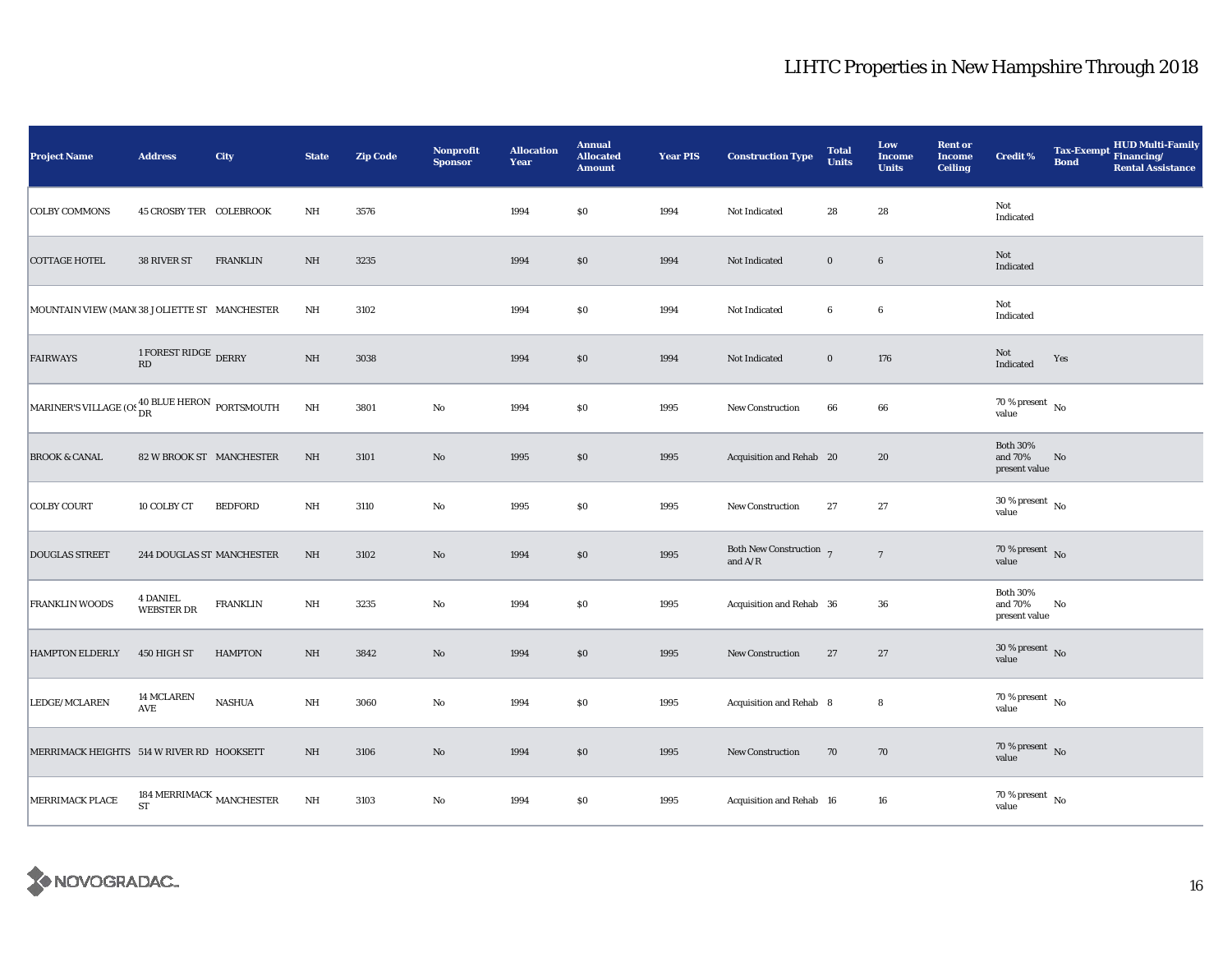| <b>Project Name</b>                                              | <b>Address</b>                                  | City            | <b>State</b>            | <b>Zip Code</b> | <b>Nonprofit</b><br><b>Sponsor</b> | <b>Allocation</b><br>Year | <b>Annual</b><br><b>Allocated</b><br><b>Amount</b> | <b>Year PIS</b> | <b>Construction Type</b>                                                           | <b>Total</b><br><b>Units</b> | Low<br><b>Income</b><br><b>Units</b> | <b>Rent or</b><br><b>Income</b><br><b>Ceiling</b> | <b>Credit %</b>                             | <b>Bond</b> | Tax-Exempt HUD Multi-Family<br><b>Rental Assistance</b> |
|------------------------------------------------------------------|-------------------------------------------------|-----------------|-------------------------|-----------------|------------------------------------|---------------------------|----------------------------------------------------|-----------------|------------------------------------------------------------------------------------|------------------------------|--------------------------------------|---------------------------------------------------|---------------------------------------------|-------------|---------------------------------------------------------|
| <b>COLBY COMMONS</b>                                             | <b>45 CROSBY TER COLEBROOK</b>                  |                 | $\rm{NH}$               | 3576            |                                    | 1994                      | \$0                                                | 1994            | Not Indicated                                                                      | 28                           | 28                                   |                                                   | Not<br>Indicated                            |             |                                                         |
| <b>COTTAGE HOTEL</b>                                             | 38 RIVER ST                                     | <b>FRANKLIN</b> | $\rm{NH}$               | 3235            |                                    | 1994                      | \$0                                                | 1994            | Not Indicated                                                                      | $\mathbf 0$                  | $6\phantom{.}6$                      |                                                   | Not<br>Indicated                            |             |                                                         |
| MOUNTAIN VIEW (MAN(38 JOLIETTE ST MANCHESTER                     |                                                 |                 | $_{\rm NH}$             | 3102            |                                    | 1994                      | S <sub>0</sub>                                     | 1994            | Not Indicated                                                                      | $\boldsymbol{6}$             | $6\phantom{.0}$                      |                                                   | Not<br>Indicated                            |             |                                                         |
| <b>FAIRWAYS</b>                                                  | 1 FOREST RIDGE DERRY<br>$\mathbf{R}\mathbf{D}$  |                 | $\rm{NH}$               | 3038            |                                    | 1994                      | \$0                                                | 1994            | Not Indicated                                                                      | $\bf{0}$                     | 176                                  |                                                   | Not<br>Indicated                            | Yes         |                                                         |
| MARINER'S VILLAGE (OS $^{40~\rm{BLEHERON}}_{\rm{DR}}$ PORTSMOUTH |                                                 |                 | $\mathbf{N} \mathbf{H}$ | 3801            | $\rm No$                           | 1994                      | \$0                                                | 1995            | New Construction                                                                   | 66                           | 66                                   |                                                   | $70\,\%$ present $\,$ No value              |             |                                                         |
| <b>BROOK &amp; CANAL</b>                                         | 82 W BROOK ST MANCHESTER                        |                 | $\rm{NH}$               | 3101            | $\mathbf{N}\mathbf{o}$             | 1995                      | $\$0$                                              | 1995            | Acquisition and Rehab 20                                                           |                              | 20                                   |                                                   | <b>Both 30%</b><br>and 70%<br>present value | No          |                                                         |
| <b>COLBY COURT</b>                                               | 10 COLBY CT                                     | <b>BEDFORD</b>  | NH                      | 3110            | $\rm No$                           | 1995                      | \$0                                                | 1995            | New Construction                                                                   | 27                           | 27                                   |                                                   | $30\,\%$ present $\,$ No value              |             |                                                         |
| <b>DOUGLAS STREET</b>                                            | <b>244 DOUGLAS ST MANCHESTER</b>                |                 | NH                      | 3102            | $\mathbf{N}\mathbf{o}$             | 1994                      | $\$0$                                              | 1995            | Both New Construction $7$<br>and $\ensuremath{\mathrm{A}}/\ensuremath{\mathrm{R}}$ |                              | $7\phantom{.0}$                      |                                                   | $70\,\%$ present $\,$ No value              |             |                                                         |
| FRANKLIN WOODS                                                   | <b>4 DANIEL</b><br><b>WEBSTER DR</b>            | <b>FRANKLIN</b> | NH                      | 3235            | No                                 | 1994                      | \$0                                                | 1995            | Acquisition and Rehab 36                                                           |                              | 36                                   |                                                   | <b>Both 30%</b><br>and 70%<br>present value | No          |                                                         |
| <b>HAMPTON ELDERLY</b>                                           | 450 HIGH ST                                     | <b>HAMPTON</b>  | NH                      | 3842            | $\mathbf{No}$                      | 1994                      | \$0                                                | 1995            | New Construction                                                                   | 27                           | 27                                   |                                                   | $30\,\%$ present $\,$ No value              |             |                                                         |
| LEDGE/MCLAREN                                                    | 14 MCLAREN<br>AVE                               | <b>NASHUA</b>   | NH                      | 3060            | $\rm No$                           | 1994                      | \$0                                                | 1995            | Acquisition and Rehab 8                                                            |                              | 8                                    |                                                   | $70\,\%$ present $\,$ No value              |             |                                                         |
| MERRIMACK HEIGHTS 514 W RIVER RD HOOKSETT                        |                                                 |                 | NH                      | 3106            | $\mathbf{No}$                      | 1994                      | $\$0$                                              | 1995            | <b>New Construction</b>                                                            | 70                           | 70                                   |                                                   | $70\,\%$ present $\,$ No value              |             |                                                         |
| MERRIMACK PLACE                                                  | 184 MERRIMACK $_{\rm MANCHESTER}$<br>${\rm ST}$ |                 | $\rm{NH}$               | 3103            | No                                 | 1994                      | \$0                                                | 1995            | Acquisition and Rehab 16                                                           |                              | 16                                   |                                                   | $70\,\%$ present $\,$ No value              |             |                                                         |

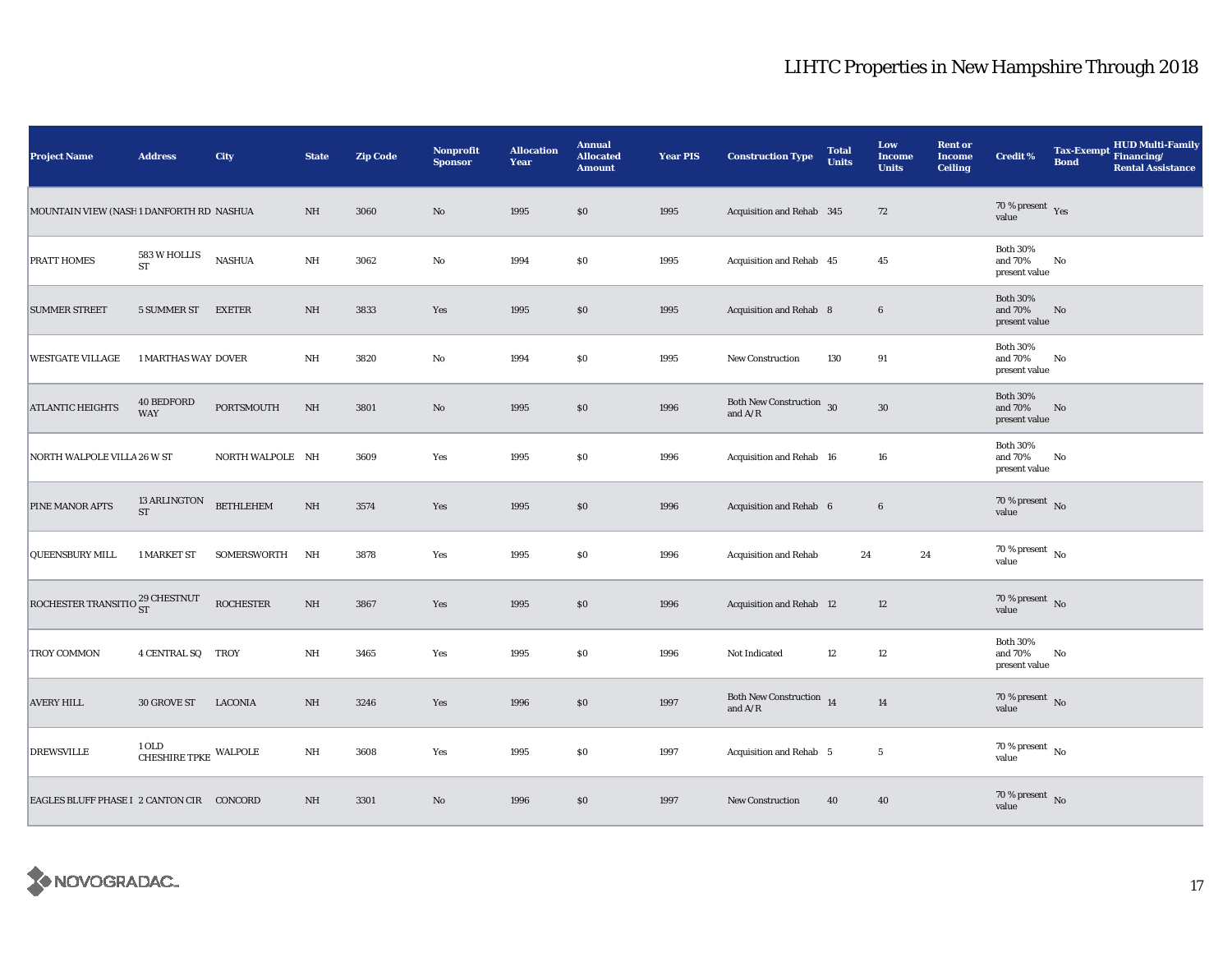| <b>Project Name</b>                           | <b>Address</b>                   | City               | <b>State</b>            | <b>Zip Code</b> | Nonprofit<br><b>Sponsor</b> | <b>Allocation</b><br>Year | <b>Annual</b><br><b>Allocated</b><br><b>Amount</b> | <b>Year PIS</b> | <b>Construction Type</b>                                                                    | <b>Total</b><br><b>Units</b> | Low<br><b>Income</b><br><b>Units</b> | <b>Rent or</b><br><b>Income</b><br><b>Ceiling</b> | <b>Credit %</b>                                | <b>Tax-Exempt</b><br><b>Bond</b> | HUD Multi-Family<br>Financing/<br><b>Rental Assistance</b> |
|-----------------------------------------------|----------------------------------|--------------------|-------------------------|-----------------|-----------------------------|---------------------------|----------------------------------------------------|-----------------|---------------------------------------------------------------------------------------------|------------------------------|--------------------------------------|---------------------------------------------------|------------------------------------------------|----------------------------------|------------------------------------------------------------|
| MOUNTAIN VIEW (NASH1 DANFORTH RD NASHUA       |                                  |                    | NH                      | 3060            | $\rm No$                    | 1995                      | $\$0$                                              | 1995            | Acquisition and Rehab 345                                                                   |                              | ${\bf 72}$                           |                                                   | 70 % present $\gamma_{\rm{es}}$<br>value       |                                  |                                                            |
| PRATT HOMES                                   | 583 W HOLLIS<br>${\rm ST}$       | <b>NASHUA</b>      | $\rm{NH}$               | 3062            | $\rm No$                    | 1994                      | $\$0$                                              | 1995            | Acquisition and Rehab 45                                                                    |                              | 45                                   |                                                   | <b>Both 30%</b><br>and 70%<br>present value    | No                               |                                                            |
| <b>SUMMER STREET</b>                          | 5 SUMMER ST                      | <b>EXETER</b>      | NH                      | 3833            | Yes                         | 1995                      | \$0                                                | 1995            | Acquisition and Rehab 8                                                                     |                              | $6\phantom{.}6$                      |                                                   | <b>Both 30%</b><br>and 70%<br>present value    | No                               |                                                            |
| <b>WESTGATE VILLAGE</b>                       | 1 MARTHAS WAY DOVER              |                    | NH                      | 3820            | No                          | 1994                      | <b>SO</b>                                          | 1995            | <b>New Construction</b>                                                                     | 130                          | 91                                   |                                                   | <b>Both 30%</b><br>and $70\%$<br>present value | No                               |                                                            |
| <b>ATLANTIC HEIGHTS</b>                       | <b>40 BEDFORD</b><br><b>WAY</b>  | PORTSMOUTH         | NH                      | 3801            | $\rm No$                    | 1995                      | \$0                                                | 1996            | <b>Both New Construction</b> 30<br>and $A/R$                                                |                              | $30\,$                               |                                                   | <b>Both 30%</b><br>and 70%<br>present value    | No                               |                                                            |
| NORTH WALPOLE VILLA 26 W ST                   |                                  | NORTH WALPOLE NH   |                         | 3609            | Yes                         | 1995                      | \$0                                                | 1996            | Acquisition and Rehab 16                                                                    |                              | 16                                   |                                                   | <b>Both 30%</b><br>and 70%<br>present value    | No                               |                                                            |
| PINE MANOR APTS                               | 13 ARLINGTON<br><b>ST</b>        | <b>BETHLEHEM</b>   | NH                      | 3574            | Yes                         | 1995                      | \$0                                                | 1996            | Acquisition and Rehab 6                                                                     |                              | $\bf 6$                              |                                                   | $70\,\%$ present $\,$ No value                 |                                  |                                                            |
| <b>QUEENSBURY MILL</b>                        | 1 MARKET ST                      | <b>SOMERSWORTH</b> | NH                      | 3878            | Yes                         | 1995                      | $\$0$                                              | 1996            | <b>Acquisition and Rehab</b>                                                                | 24                           | 24                                   |                                                   | $70\,\%$ present $\,$ No value                 |                                  |                                                            |
| ROCHESTER TRANSITIO $_{\rm ST}^{29}$ CHESTNUT |                                  | <b>ROCHESTER</b>   | $\rm{NH}$               | 3867            | Yes                         | 1995                      | $\$0$                                              | 1996            | Acquisition and Rehab 12                                                                    |                              | 12                                   |                                                   | $70\%$ present No<br>value                     |                                  |                                                            |
| TROY COMMON                                   | 4 CENTRAL SQ TROY                |                    | NH                      | 3465            | Yes                         | 1995                      | \$0                                                | 1996            | Not Indicated                                                                               | 12                           | 12                                   |                                                   | <b>Both 30%</b><br>and 70%<br>present value    | No                               |                                                            |
| <b>AVERY HILL</b>                             | 30 GROVE ST                      | <b>LACONIA</b>     | NH                      | 3246            | Yes                         | 1996                      | $\$0$                                              | 1997            | Both New Construction $\,$ 14 $\,$<br>and $\ensuremath{\mathrm{A}}/\ensuremath{\mathrm{R}}$ |                              | 14                                   |                                                   | 70 % present $\,$ No $\,$<br>value             |                                  |                                                            |
| <b>DREWSVILLE</b>                             | $1$ OLD $$\tt{CHESHIRE}$ WALPOLE |                    | $\mathbf{N} \mathbf{H}$ | 3608            | Yes                         | 1995                      | \$0                                                | 1997            | Acquisition and Rehab 5                                                                     |                              | $5\phantom{.0}$                      |                                                   | 70 % present $\hbox{~No}$<br>value             |                                  |                                                            |
| EAGLES BLUFF PHASE I 2 CANTON CIR CONCORD     |                                  |                    | $\rm{NH}$               | 3301            | No                          | 1996                      | $\$0$                                              | 1997            | <b>New Construction</b>                                                                     | 40                           | 40                                   |                                                   | $70\,\%$ present $\,$ No value                 |                                  |                                                            |

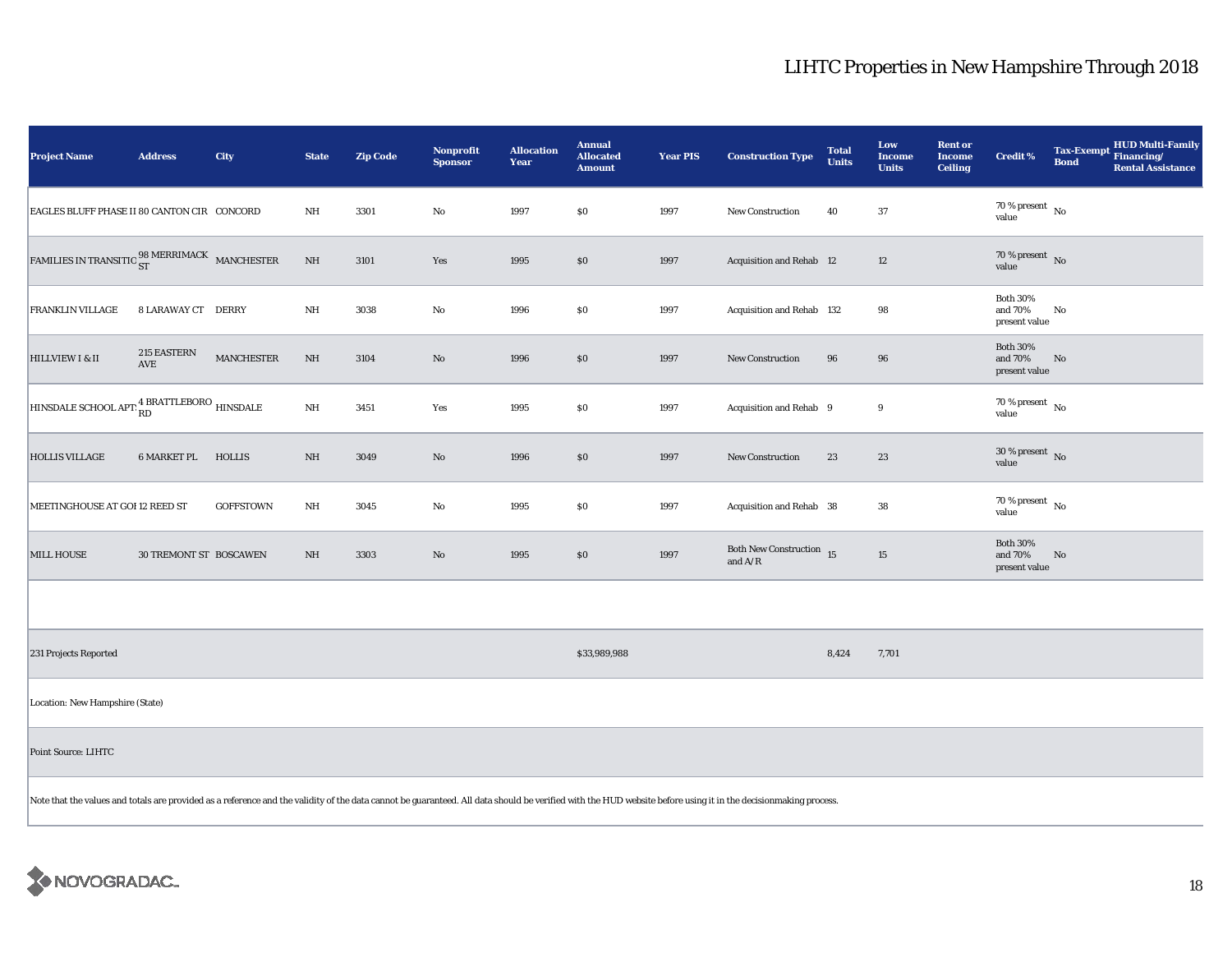| <b>Project Name</b>                                                                                                       | <b>Address</b>                                                                                                                                                                                                 | City             | <b>State</b>            | <b>Zip Code</b> | <b>Nonprofit</b><br><b>Sponsor</b> | <b>Allocation</b><br>Year | <b>Annual</b><br><b>Allocated</b><br><b>Amount</b> | <b>Year PIS</b> | <b>Construction Type</b>                                                          | <b>Total</b><br><b>Units</b> | Low<br><b>Income</b><br><b>Units</b> | <b>Rent or</b><br><b>Income</b><br><b>Ceiling</b> | <b>Credit %</b>                                | <b>Bond</b> | <b>HUD Multi-Family</b><br>Tax-Exempt Financing/<br><b>Rental Assistance</b> |
|---------------------------------------------------------------------------------------------------------------------------|----------------------------------------------------------------------------------------------------------------------------------------------------------------------------------------------------------------|------------------|-------------------------|-----------------|------------------------------------|---------------------------|----------------------------------------------------|-----------------|-----------------------------------------------------------------------------------|------------------------------|--------------------------------------|---------------------------------------------------|------------------------------------------------|-------------|------------------------------------------------------------------------------|
| EAGLES BLUFF PHASE II 80 CANTON CIR CONCORD                                                                               |                                                                                                                                                                                                                |                  | NH                      | 3301            | $\rm No$                           | 1997                      | \$0                                                | 1997            | New Construction                                                                  | 40                           | 37                                   |                                                   | 70 % present $\hbox{~No}$<br>value             |             |                                                                              |
| $\textrm{FAMILIES IN TRANSITIO}\,\displaystyle{{}_{\mathbf{ST}}^{98}\,\textrm{MERRIMACK}}\quad \  \  \textrm{MANCHESTER}$ |                                                                                                                                                                                                                |                  | $\rm{NH}$               | 3101            | Yes                                | 1995                      | \$0                                                | 1997            | <b>Acquisition and Rehab 12</b>                                                   |                              | 12                                   |                                                   | 70 % present $\overline{N_0}$<br>value         |             |                                                                              |
| FRANKLIN VILLAGE                                                                                                          | 8 LARAWAY CT DERRY                                                                                                                                                                                             |                  | NH                      | 3038            | No                                 | 1996                      | \$0                                                | 1997            | Acquisition and Rehab 132                                                         |                              | 98                                   |                                                   | <b>Both 30%</b><br>and 70%<br>present value    | No          |                                                                              |
| HILLVIEW I & II                                                                                                           | 215 EASTERN<br>$\operatorname{AVE}$                                                                                                                                                                            | MANCHESTER       | $\rm{NH}$               | 3104            | $\rm No$                           | 1996                      | \$0                                                | 1997            | <b>New Construction</b>                                                           | 96                           | 96                                   |                                                   | <b>Both 30%</b><br>and $70\%$<br>present value | No          |                                                                              |
| $\boxed{\text{HINDDALE SCHOOL APT:}}^{\text{4 BRATTLEBORO}}_{\text{RD}}\text{HINDDALE}$                                   |                                                                                                                                                                                                                |                  | $\mathbf{N} \mathbf{H}$ | 3451            | Yes                                | 1995                      | \$0                                                | 1997            | Acquisition and Rehab 9                                                           |                              | 9                                    |                                                   | $70$ % present $\,$ No $\,$<br>value           |             |                                                                              |
| <b>HOLLIS VILLAGE</b>                                                                                                     | 6 MARKET PL                                                                                                                                                                                                    | <b>HOLLIS</b>    | $\rm{NH}$               | 3049            | $\mathbf{N}\mathbf{o}$             | 1996                      | $\$0$                                              | 1997            | New Construction                                                                  | 23                           | 23                                   |                                                   | $30$ % present $\,$ No $\,$<br>value           |             |                                                                              |
| MEETINGHOUSE AT GOI 12 REED ST                                                                                            |                                                                                                                                                                                                                | <b>GOFFSTOWN</b> | $\rm{NH}$               | 3045            | $\rm No$                           | 1995                      | \$0                                                | 1997            | Acquisition and Rehab 38                                                          |                              | 38                                   |                                                   | 70 % present $\hbox{~No}$<br>value             |             |                                                                              |
| <b>MILL HOUSE</b>                                                                                                         | <b>30 TREMONT ST BOSCAWEN</b>                                                                                                                                                                                  |                  | NH                      | 3303            | $\mathbf{N}\mathbf{o}$             | 1995                      | \$0                                                | 1997            | Both New Construction 15<br>and $\ensuremath{\mathrm{A}}/\ensuremath{\mathrm{R}}$ |                              | $15\,$                               |                                                   | <b>Both 30%</b><br>and 70%<br>present value    | No          |                                                                              |
|                                                                                                                           |                                                                                                                                                                                                                |                  |                         |                 |                                    |                           |                                                    |                 |                                                                                   |                              |                                      |                                                   |                                                |             |                                                                              |
| 231 Projects Reported                                                                                                     |                                                                                                                                                                                                                |                  |                         |                 |                                    |                           | \$33,989,988                                       |                 |                                                                                   | 8,424                        | 7,701                                |                                                   |                                                |             |                                                                              |
| Location: New Hampshire (State)                                                                                           |                                                                                                                                                                                                                |                  |                         |                 |                                    |                           |                                                    |                 |                                                                                   |                              |                                      |                                                   |                                                |             |                                                                              |
| Point Source: LIHTC                                                                                                       |                                                                                                                                                                                                                |                  |                         |                 |                                    |                           |                                                    |                 |                                                                                   |                              |                                      |                                                   |                                                |             |                                                                              |
|                                                                                                                           | Note that the values and totals are provided as a reference and the validity of the data cannot be guaranteed. All data should be verified with the HUD website before using it in the decisionmaking process. |                  |                         |                 |                                    |                           |                                                    |                 |                                                                                   |                              |                                      |                                                   |                                                |             |                                                                              |